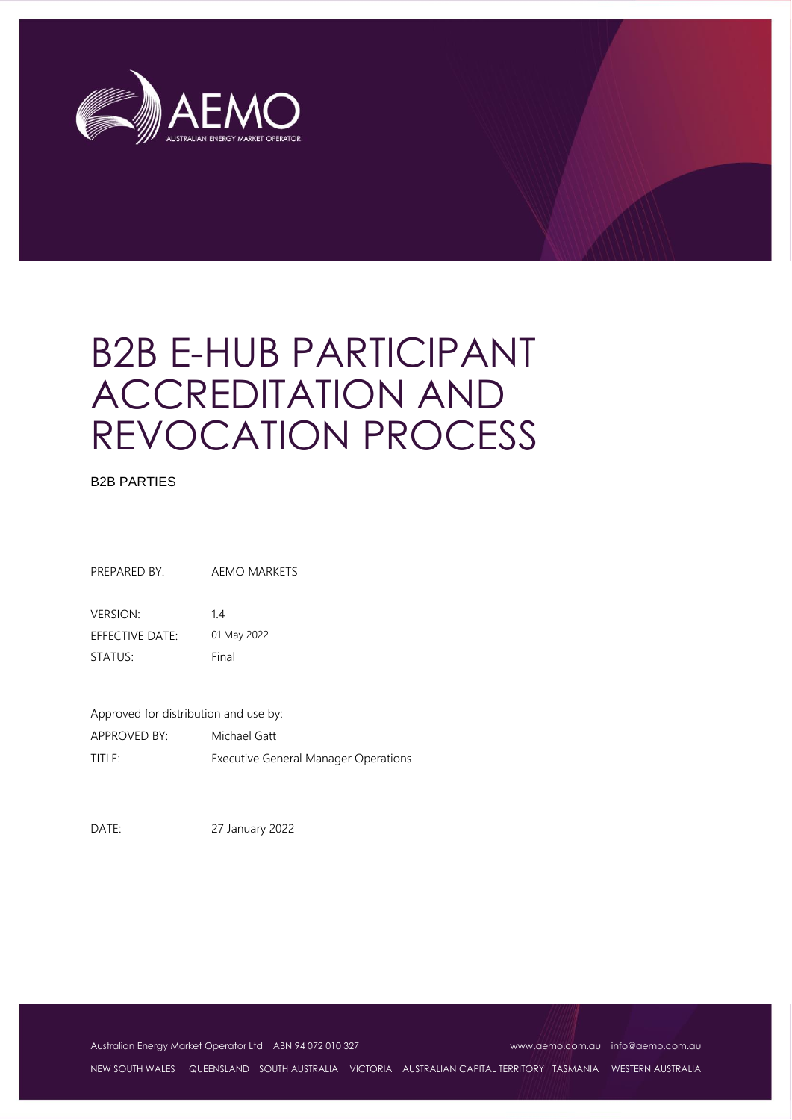

# B2B E-HUB PARTICIPANT ACCREDITATION AND REVOCATION PROCESS

#### B2B PARTIES

PREPARED BY: AEMO MARKETS

VERSION: 1.4 EFFECTIVE DATE: 01 May 2022 STATUS: Final

Approved for distribution and use by: APPROVED BY: Michael Gatt TITLE: Executive General Manager Operations

DATE: 27 January 2022

Australian Energy Market Operator Ltd ABN 94 072 010 327 [www.aemo.com.au](http://www.aemo.com.au/) [info@aemo.com.au](mailto:info@aemo.com.au)

NEW SOUTH WALES QUEENSLAND SOUTH AUSTRALIA VICTORIA AUSTRALIAN CAPITAL TERRITORY TASMANIA WESTERN AUSTRALIA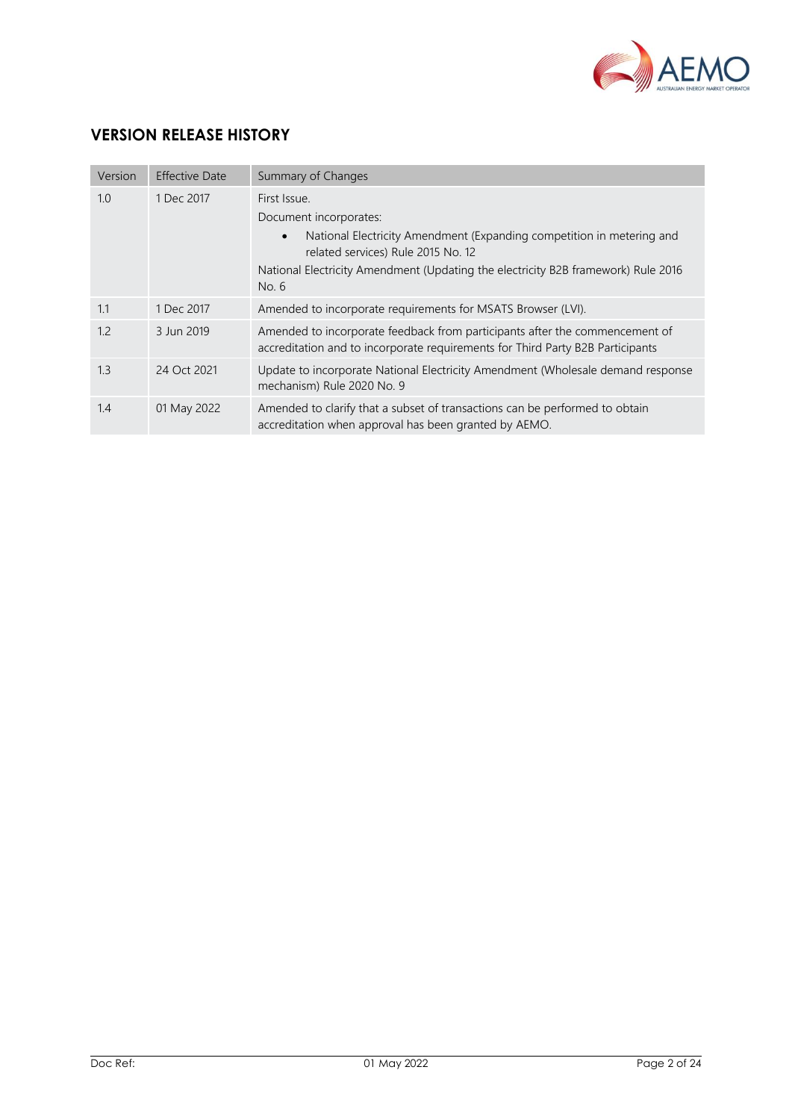

# **VERSION RELEASE HISTORY**

| Version | <b>Effective Date</b> | Summary of Changes                                                                                                                                                                                                                                               |
|---------|-----------------------|------------------------------------------------------------------------------------------------------------------------------------------------------------------------------------------------------------------------------------------------------------------|
| 1.0     | 1 Dec 2017            | First Issue.<br>Document incorporates:<br>National Electricity Amendment (Expanding competition in metering and<br>$\bullet$<br>related services) Rule 2015 No. 12<br>National Electricity Amendment (Updating the electricity B2B framework) Rule 2016<br>No. 6 |
| 1.1     | 1 Dec 2017            | Amended to incorporate requirements for MSATS Browser (LVI).                                                                                                                                                                                                     |
| 1.2     | 3 Jun 2019            | Amended to incorporate feedback from participants after the commencement of<br>accreditation and to incorporate requirements for Third Party B2B Participants                                                                                                    |
| 1.3     | 24 Oct 2021           | Update to incorporate National Electricity Amendment (Wholesale demand response<br>mechanism) Rule 2020 No. 9                                                                                                                                                    |
| 1.4     | 01 May 2022           | Amended to clarify that a subset of transactions can be performed to obtain<br>accreditation when approval has been granted by AEMO.                                                                                                                             |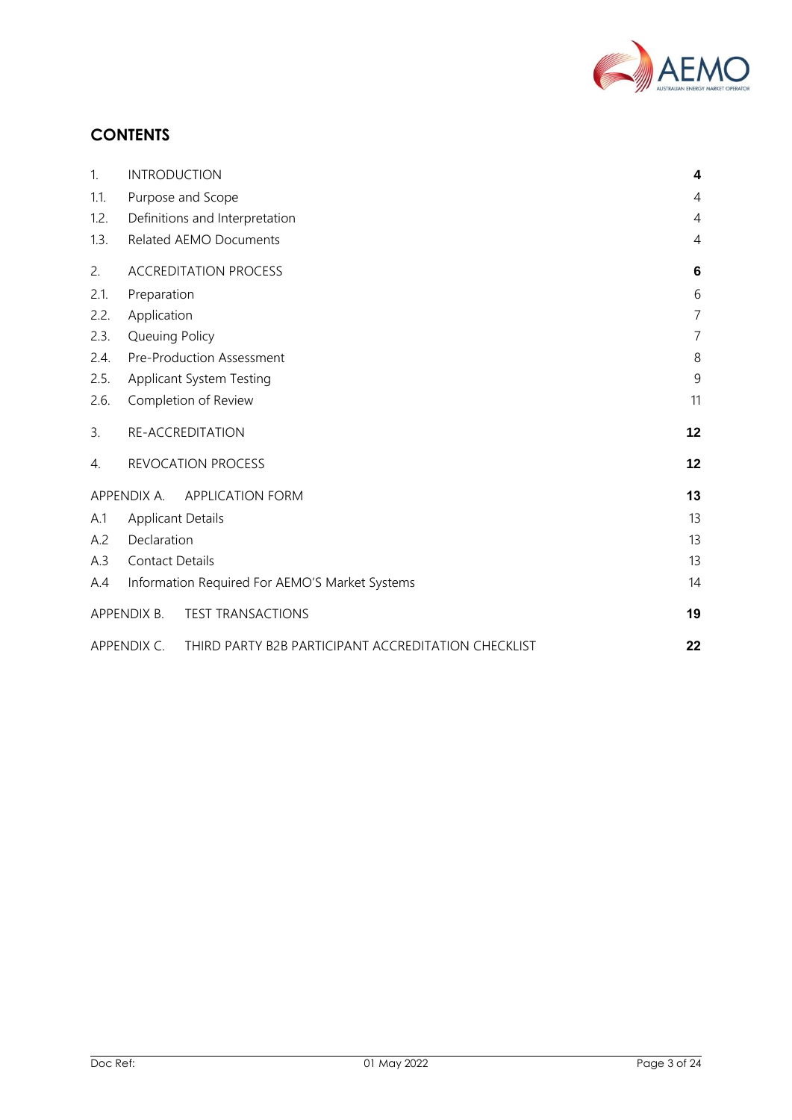

# **CONTENTS**

| 1.   | <b>INTRODUCTION</b>                                                | 4              |
|------|--------------------------------------------------------------------|----------------|
| 1.1. | Purpose and Scope                                                  | 4              |
| 1.2. | Definitions and Interpretation                                     | $\overline{4}$ |
| 1.3. | <b>Related AEMO Documents</b>                                      | $\overline{4}$ |
| 2.   | <b>ACCREDITATION PROCESS</b>                                       | 6              |
| 2.1. | Preparation                                                        | 6              |
| 2.2. | Application                                                        | $\overline{7}$ |
| 2.3. | Queuing Policy                                                     | $\overline{7}$ |
| 2.4. | Pre-Production Assessment                                          | 8              |
| 2.5. | Applicant System Testing                                           | 9              |
| 2.6. | Completion of Review                                               | 11             |
| 3.   | RE-ACCREDITATION                                                   | 12             |
| 4.   | <b>REVOCATION PROCESS</b>                                          | 12             |
|      | APPENDIX A. APPLICATION FORM                                       | 13             |
| A.1  | <b>Applicant Details</b>                                           | 13             |
| A.2  | Declaration                                                        | 13             |
| A.3  | <b>Contact Details</b>                                             | 13             |
| A.4  | Information Required For AEMO'S Market Systems                     | 14             |
|      | APPENDIX B.<br><b>TEST TRANSACTIONS</b>                            | 19             |
|      | APPENDIX C.<br>THIRD PARTY B2B PARTICIPANT ACCREDITATION CHECKLIST | 22             |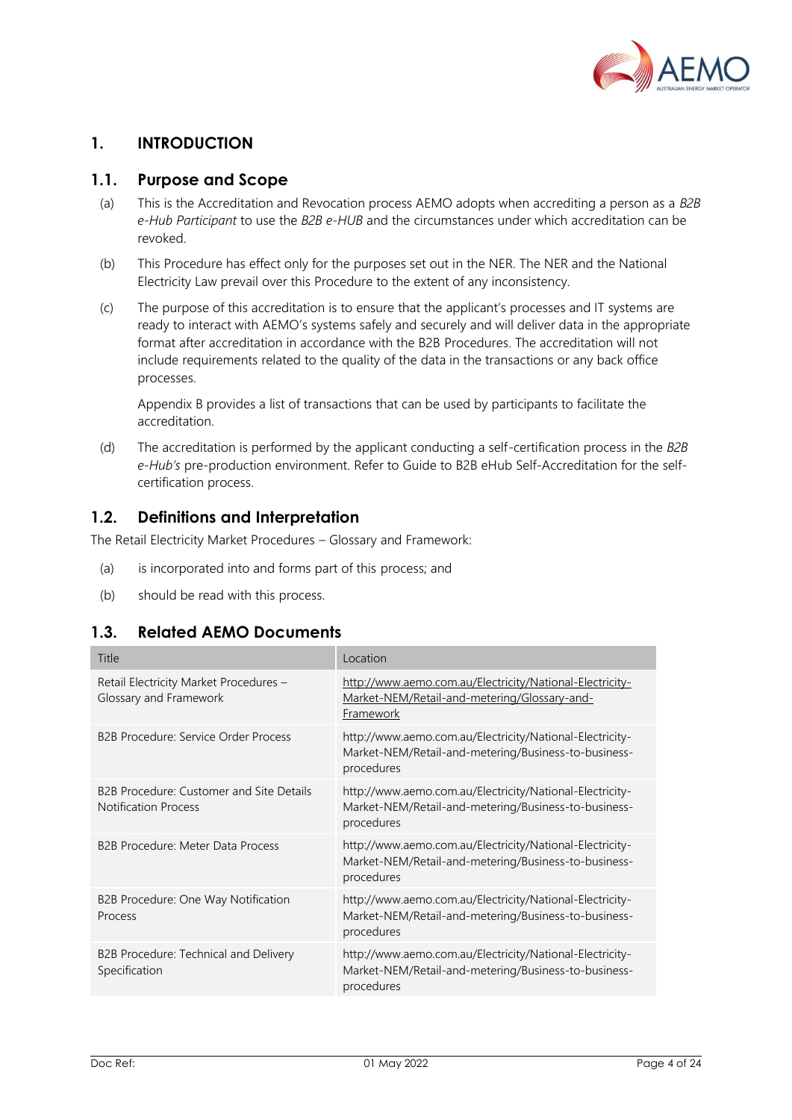

# <span id="page-3-0"></span>**1. INTRODUCTION**

#### <span id="page-3-1"></span>**1.1. Purpose and Scope**

- (a) This is the Accreditation and Revocation process AEMO adopts when accrediting a person as a *B2B e-Hub Participant* to use the *B2B e-HUB* and the circumstances under which accreditation can be revoked.
- (b) This Procedure has effect only for the purposes set out in the NER. The NER and the National Electricity Law prevail over this Procedure to the extent of any inconsistency.
- (c) The purpose of this accreditation is to ensure that the applicant's processes and IT systems are ready to interact with AEMO's systems safely and securely and will deliver data in the appropriate format after accreditation in accordance with the B2B Procedures. The accreditation will not include requirements related to the quality of the data in the transactions or any back office processes.

Appendix B provides a list of transactions that can be used by participants to facilitate the accreditation.

(d) The accreditation is performed by the applicant conducting a self-certification process in the *B2B e-Hub's* pre-production environment. Refer to Guide to B2B eHub Self-Accreditation for the selfcertification process.

# <span id="page-3-2"></span>**1.2. Definitions and Interpretation**

The Retail Electricity Market Procedures – Glossary and Framework:

- (a) is incorporated into and forms part of this process; and
- (b) should be read with this process.

#### <span id="page-3-3"></span>**1.3. Related AEMO Documents**

| Title                                                                   | Location                                                                                                                       |
|-------------------------------------------------------------------------|--------------------------------------------------------------------------------------------------------------------------------|
| Retail Electricity Market Procedures -<br>Glossary and Framework        | http://www.aemo.com.au/Electricity/National-Electricity-<br>Market-NEM/Retail-and-metering/Glossary-and-<br>Framework          |
| <b>B2B Procedure: Service Order Process</b>                             | http://www.aemo.com.au/Electricity/National-Electricity-<br>Market-NEM/Retail-and-metering/Business-to-business-<br>procedures |
| B2B Procedure: Customer and Site Details<br><b>Notification Process</b> | http://www.aemo.com.au/Electricity/National-Electricity-<br>Market-NEM/Retail-and-metering/Business-to-business-<br>procedures |
| <b>B2B Procedure: Meter Data Process</b>                                | http://www.aemo.com.au/Electricity/National-Electricity-<br>Market-NEM/Retail-and-metering/Business-to-business-<br>procedures |
| B2B Procedure: One Way Notification<br>Process                          | http://www.aemo.com.au/Electricity/National-Electricity-<br>Market-NEM/Retail-and-metering/Business-to-business-<br>procedures |
| B2B Procedure: Technical and Delivery<br>Specification                  | http://www.aemo.com.au/Electricity/National-Electricity-<br>Market-NEM/Retail-and-metering/Business-to-business-<br>procedures |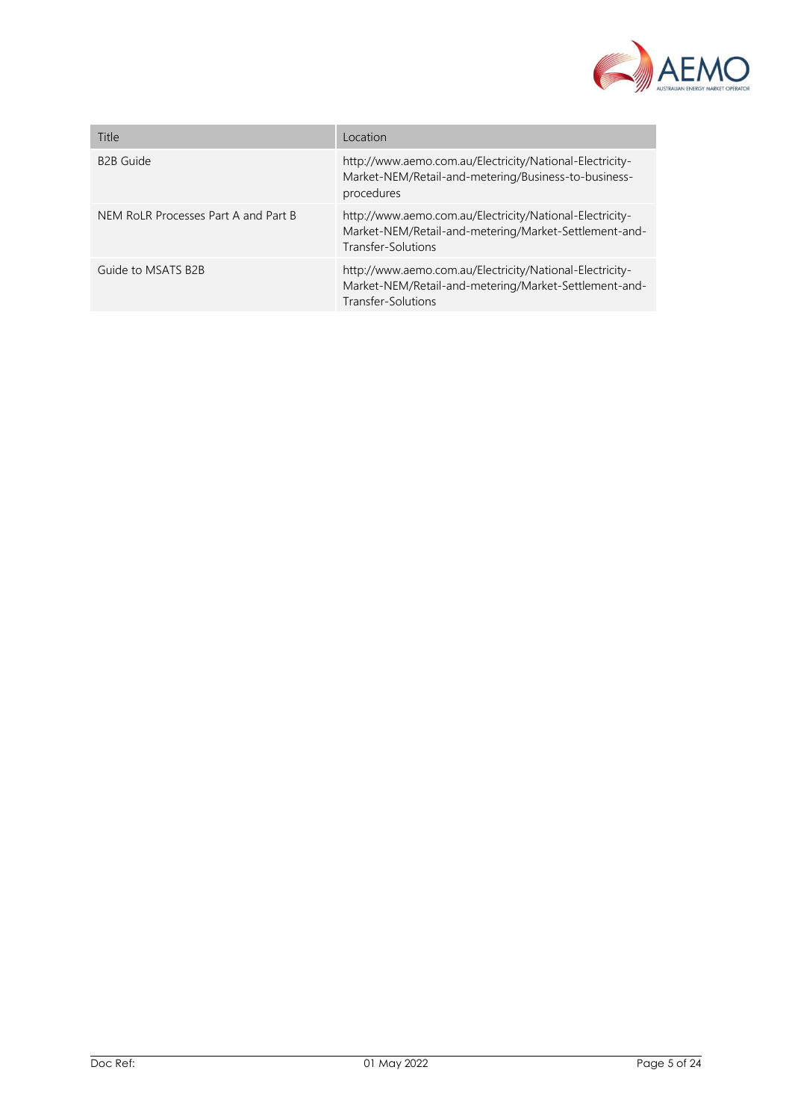

| Title                                | Location                                                                                                                                |
|--------------------------------------|-----------------------------------------------------------------------------------------------------------------------------------------|
| <b>B2B Guide</b>                     | http://www.aemo.com.au/Electricity/National-Electricity-<br>Market-NEM/Retail-and-metering/Business-to-business-<br>procedures          |
| NEM RoLR Processes Part A and Part B | http://www.aemo.com.au/Electricity/National-Electricity-<br>Market-NEM/Retail-and-metering/Market-Settlement-and-<br>Transfer-Solutions |
| Guide to MSATS B2B                   | http://www.aemo.com.au/Electricity/National-Electricity-<br>Market-NEM/Retail-and-metering/Market-Settlement-and-<br>Transfer-Solutions |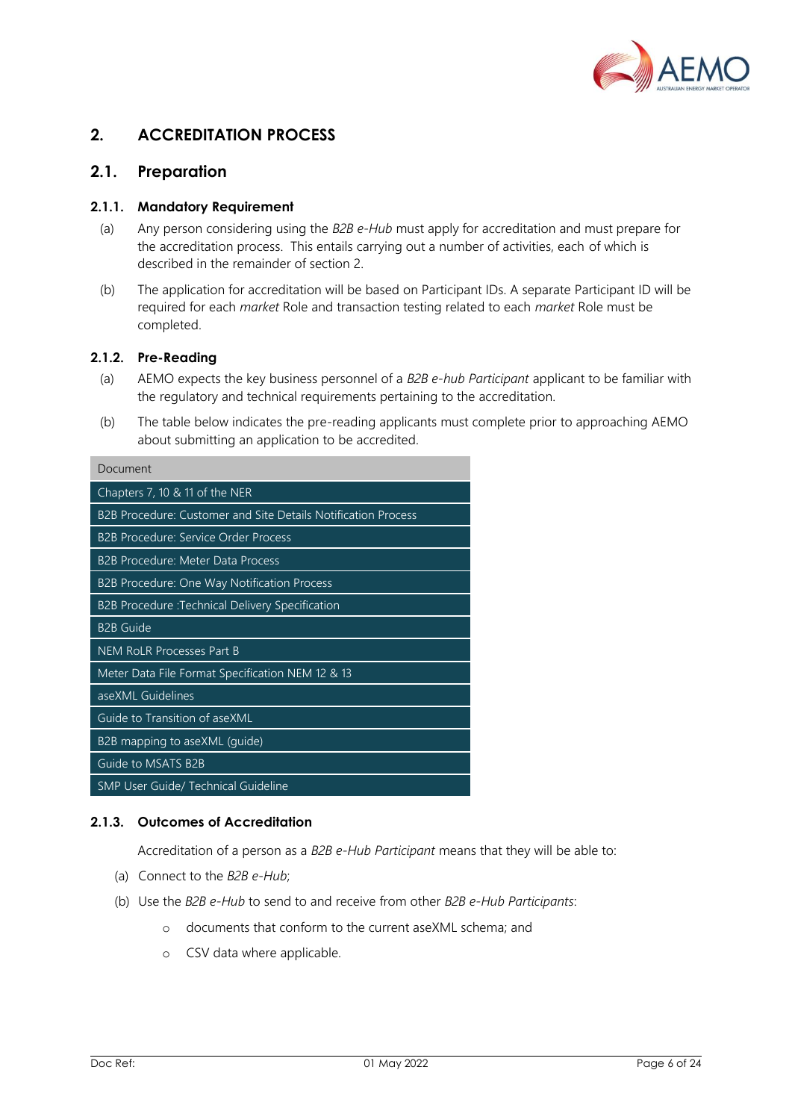

# <span id="page-5-0"></span>**2. ACCREDITATION PROCESS**

# <span id="page-5-1"></span>**2.1. Preparation**

#### **2.1.1. Mandatory Requirement**

- (a) Any person considering using the *B2B e-Hub* must apply for accreditation and must prepare for the accreditation process. This entails carrying out a number of activities, each of which is described in the remainder of section 2.
- (b) The application for accreditation will be based on Participant IDs. A separate Participant ID will be required for each *market* Role and transaction testing related to each *market* Role must be completed.

#### **2.1.2. Pre-Reading**

- (a) AEMO expects the key business personnel of a *B2B e-hub Participant* applicant to be familiar with the regulatory and technical requirements pertaining to the accreditation.
- (b) The table below indicates the pre-reading applicants must complete prior to approaching AEMO about submitting an application to be accredited.

| Document                                                      |
|---------------------------------------------------------------|
| Chapters 7, 10 & 11 of the NER                                |
| B2B Procedure: Customer and Site Details Notification Process |
| <b>B2B Procedure: Service Order Process</b>                   |
| B2B Procedure: Meter Data Process                             |
| B2B Procedure: One Way Notification Process                   |
| B2B Procedure :Technical Delivery Specification               |
| <b>B2B Guide</b>                                              |
| <b>NEM RoLR Processes Part B</b>                              |
| Meter Data File Format Specification NEM 12 & 13              |
| aseXML Guidelines                                             |
| Guide to Transition of aseXML                                 |
| B2B mapping to aseXML (guide)                                 |
| Guide to MSATS B2B                                            |
| <b>SMP User Guide/ Technical Guideline</b>                    |

#### **2.1.3. Outcomes of Accreditation**

Accreditation of a person as a *B2B e-Hub Participant* means that they will be able to:

- (a) Connect to the *B2B e-Hub*;
- (b) Use the *B2B e-Hub* to send to and receive from other *B2B e-Hub Participants*:
	- o documents that conform to the current aseXML schema; and
	- o CSV data where applicable.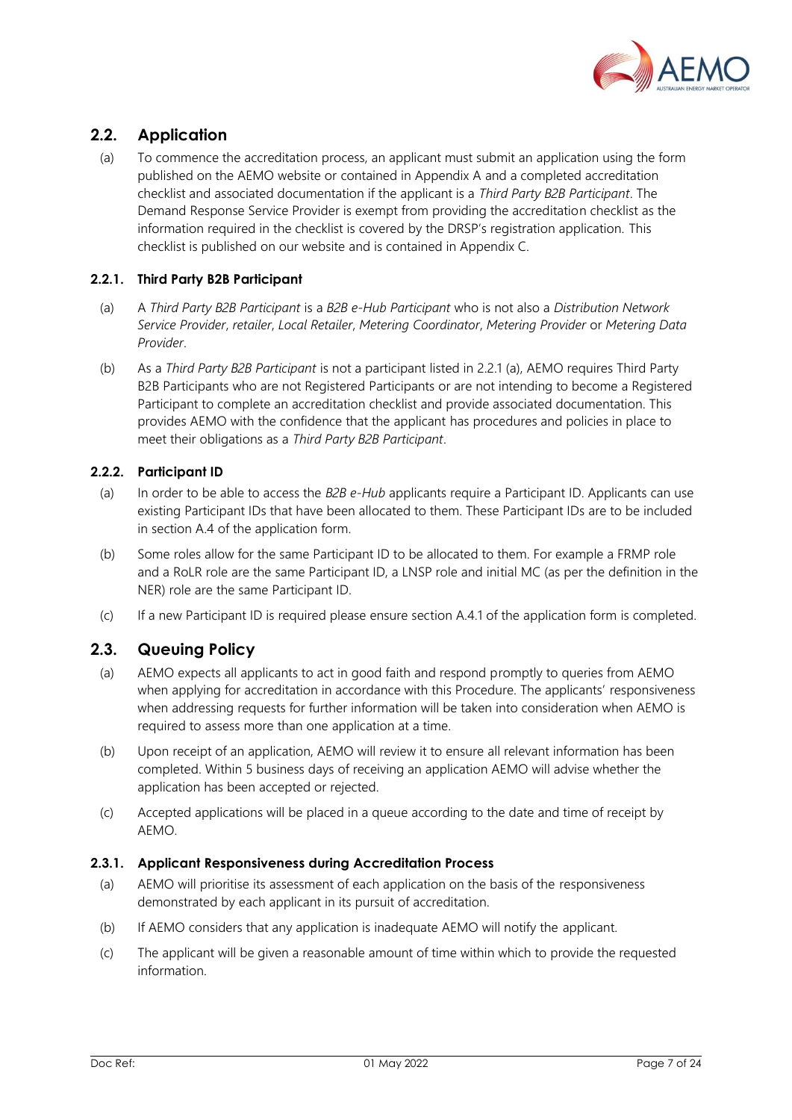

# <span id="page-6-0"></span>**2.2. Application**

(a) To commence the accreditation process, an applicant must submit an application using the form published on the AEMO website or contained in Appendix A and a completed accreditation checklist and associated documentation if the applicant is a *Third Party B2B Participant*. The Demand Response Service Provider is exempt from providing the accreditation checklist as the information required in the checklist is covered by the DRSP's registration application. This checklist is published on our website and is contained in Appendix C.

#### **2.2.1. Third Party B2B Participant**

- (a) A *Third Party B2B Participant* is a *B2B e-Hub Participant* who is not also a *Distribution Network Service Provider*, *retailer*, *Local Retailer*, *Metering Coordinator*, *Metering Provider* or *Metering Data Provider*.
- (b) As a *Third Party B2B Participant* is not a participant listed in 2.2.1 (a), AEMO requires Third Party B2B Participants who are not Registered Participants or are not intending to become a Registered Participant to complete an accreditation checklist and provide associated documentation. This provides AEMO with the confidence that the applicant has procedures and policies in place to meet their obligations as a *Third Party B2B Participant*.

#### **2.2.2. Participant ID**

- (a) In order to be able to access the *B2B e-Hub* applicants require a Participant ID. Applicants can use existing Participant IDs that have been allocated to them. These Participant IDs are to be included in section A.4 of the application form.
- (b) Some roles allow for the same Participant ID to be allocated to them. For example a FRMP role and a RoLR role are the same Participant ID, a LNSP role and initial MC (as per the definition in the NER) role are the same Participant ID.
- (c) If a new Participant ID is required please ensure section A.4.1 of the application form is completed.

# <span id="page-6-1"></span>**2.3. Queuing Policy**

- (a) AEMO expects all applicants to act in good faith and respond promptly to queries from AEMO when applying for accreditation in accordance with this Procedure. The applicants' responsiveness when addressing requests for further information will be taken into consideration when AEMO is required to assess more than one application at a time.
- (b) Upon receipt of an application, AEMO will review it to ensure all relevant information has been completed. Within 5 business days of receiving an application AEMO will advise whether the application has been accepted or rejected.
- (c) Accepted applications will be placed in a queue according to the date and time of receipt by AEMO.

#### **2.3.1. Applicant Responsiveness during Accreditation Process**

- (a) AEMO will prioritise its assessment of each application on the basis of the responsiveness demonstrated by each applicant in its pursuit of accreditation.
- (b) If AEMO considers that any application is inadequate AEMO will notify the applicant.
- (c) The applicant will be given a reasonable amount of time within which to provide the requested information.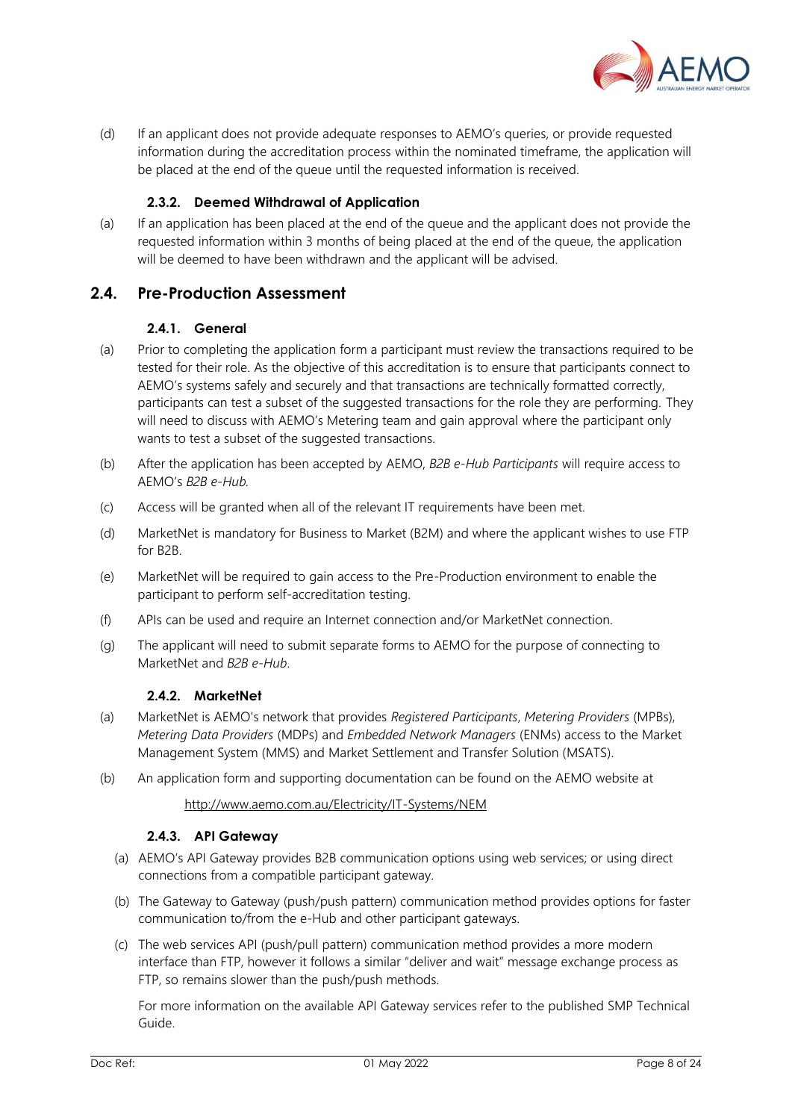

(d) If an applicant does not provide adequate responses to AEMO's queries, or provide requested information during the accreditation process within the nominated timeframe, the application will be placed at the end of the queue until the requested information is received.

#### **2.3.2. Deemed Withdrawal of Application**

(a) If an application has been placed at the end of the queue and the applicant does not provide the requested information within 3 months of being placed at the end of the queue, the application will be deemed to have been withdrawn and the applicant will be advised.

#### <span id="page-7-0"></span>**2.4. Pre-Production Assessment**

#### **2.4.1. General**

- (a) Prior to completing the application form a participant must review the transactions required to be tested for their role. As the objective of this accreditation is to ensure that participants connect to AEMO's systems safely and securely and that transactions are technically formatted correctly, participants can test a subset of the suggested transactions for the role they are performing. They will need to discuss with AEMO's Metering team and gain approval where the participant only wants to test a subset of the suggested transactions.
- (b) After the application has been accepted by AEMO, *B2B e-Hub Participants* will require access to AEMO's *B2B e-Hub.*
- (c) Access will be granted when all of the relevant IT requirements have been met.
- (d) MarketNet is mandatory for Business to Market (B2M) and where the applicant wishes to use FTP for B2B.
- (e) MarketNet will be required to gain access to the Pre-Production environment to enable the participant to perform self-accreditation testing.
- (f) APIs can be used and require an Internet connection and/or MarketNet connection.
- (g) The applicant will need to submit separate forms to AEMO for the purpose of connecting to MarketNet and *B2B e-Hub*.

#### **2.4.2. MarketNet**

- (a) MarketNet is AEMO's network that provides *Registered Participants*, *Metering Providers* (MPBs), *Metering Data Providers* (MDPs) and *Embedded Network Managers* (ENMs) access to the Market Management System (MMS) and Market Settlement and Transfer Solution (MSATS).
- (b) An application form and supporting documentation can be found on the AEMO website at

#### <http://www.aemo.com.au/Electricity/IT-Systems/NEM>

#### **2.4.3. API Gateway**

- (a) AEMO's API Gateway provides B2B communication options using web services; or using direct connections from a compatible participant gateway.
- (b) The Gateway to Gateway (push/push pattern) communication method provides options for faster communication to/from the e-Hub and other participant gateways.
- (c) The web services API (push/pull pattern) communication method provides a more modern interface than FTP, however it follows a similar "deliver and wait" message exchange process as FTP, so remains slower than the push/push methods.

For more information on the available API Gateway services refer to the published SMP Technical Guide.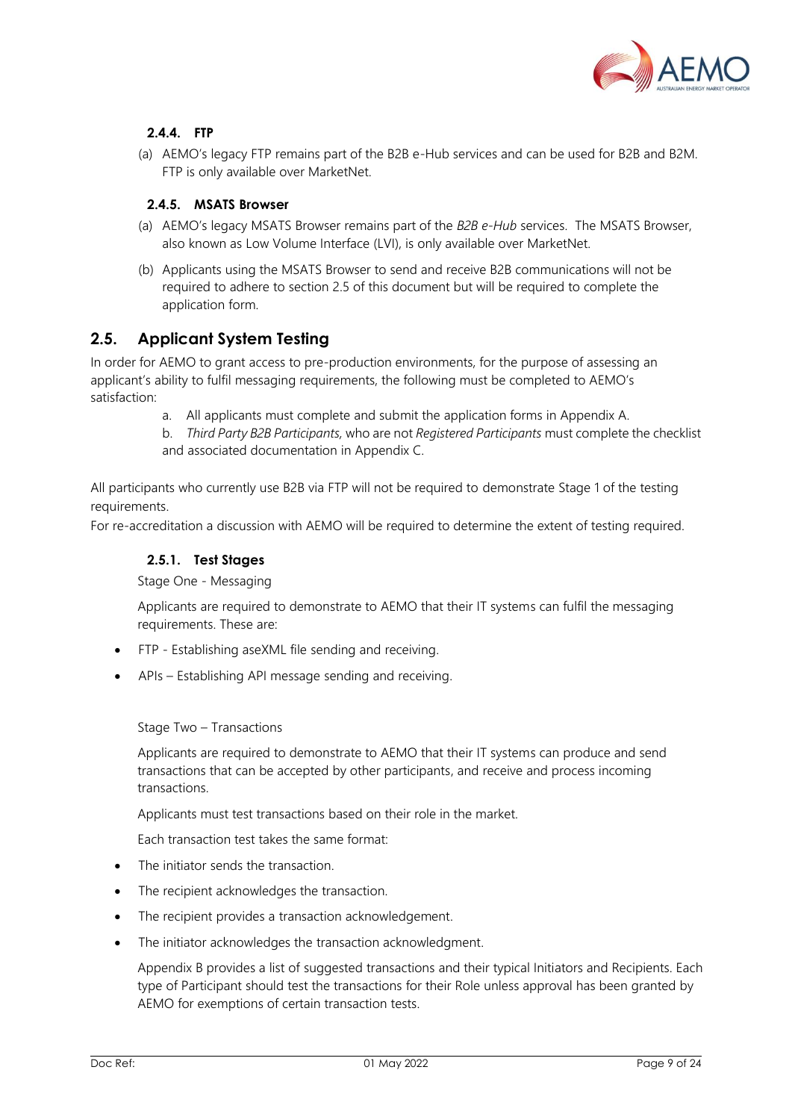

#### **2.4.4. FTP**

(a) AEMO's legacy FTP remains part of the B2B e-Hub services and can be used for B2B and B2M. FTP is only available over MarketNet.

#### **2.4.5. MSATS Browser**

- (a) AEMO's legacy MSATS Browser remains part of the *B2B e-Hub* services. The MSATS Browser, also known as Low Volume Interface (LVI), is only available over MarketNet.
- (b) Applicants using the MSATS Browser to send and receive B2B communications will not be required to adhere to section 2.5 of this document but will be required to complete the application form.

# <span id="page-8-0"></span>**2.5. Applicant System Testing**

In order for AEMO to grant access to pre-production environments, for the purpose of assessing an applicant's ability to fulfil messaging requirements, the following must be completed to AEMO's satisfaction:

- a. All applicants must complete and submit the application forms in Appendix A.
- b. *Third Party B2B Participants,* who are not *Registered Participants* must complete the checklist and associated documentation in Appendix C.

All participants who currently use B2B via FTP will not be required to demonstrate Stage 1 of the testing requirements.

For re-accreditation a discussion with AEMO will be required to determine the extent of testing required.

#### **2.5.1. Test Stages**

Stage One - Messaging

Applicants are required to demonstrate to AEMO that their IT systems can fulfil the messaging requirements. These are:

- FTP Establishing aseXML file sending and receiving.
- APIs Establishing API message sending and receiving.

#### Stage Two – Transactions

Applicants are required to demonstrate to AEMO that their IT systems can produce and send transactions that can be accepted by other participants, and receive and process incoming transactions.

Applicants must test transactions based on their role in the market.

Each transaction test takes the same format:

- The initiator sends the transaction.
- The recipient acknowledges the transaction.
- The recipient provides a transaction acknowledgement.
- The initiator acknowledges the transaction acknowledgment.

Appendix B provides a list of suggested transactions and their typical Initiators and Recipients. Each type of Participant should test the transactions for their Role unless approval has been granted by AEMO for exemptions of certain transaction tests.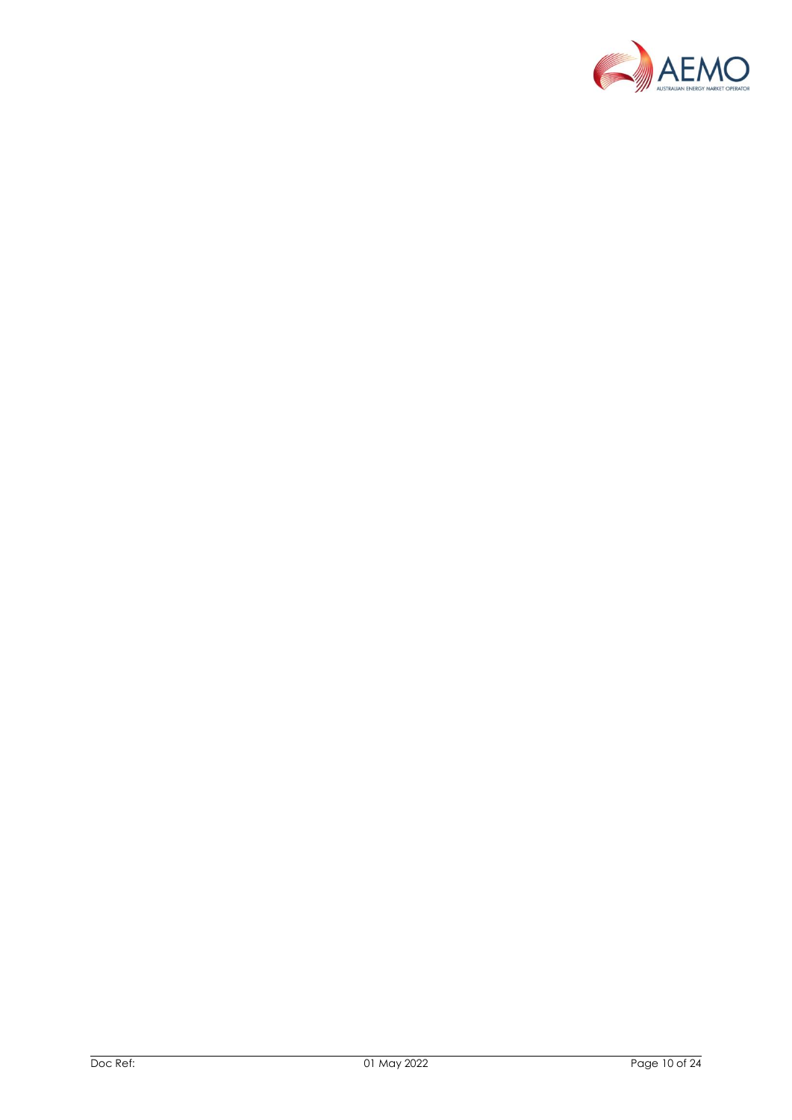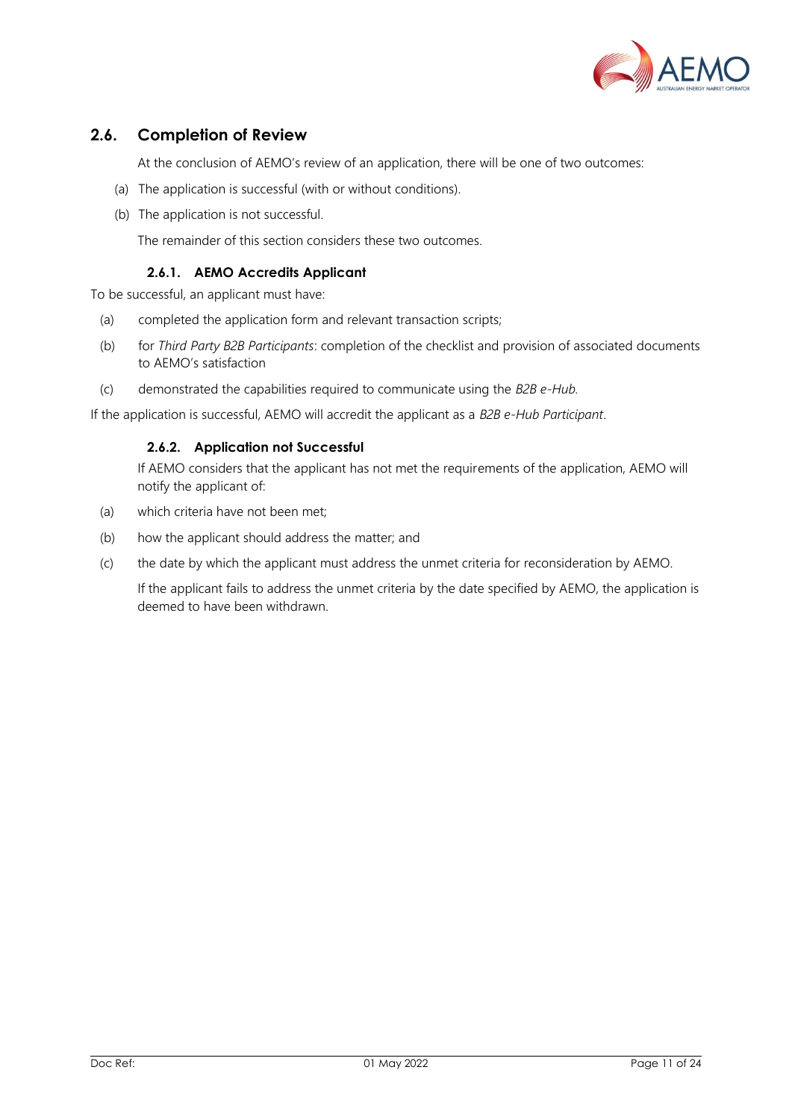

# <span id="page-10-0"></span>**2.6. Completion of Review**

At the conclusion of AEMO's review of an application, there will be one of two outcomes:

- (a) The application is successful (with or without conditions).
- (b) The application is not successful.

The remainder of this section considers these two outcomes.

#### **2.6.1. AEMO Accredits Applicant**

To be successful, an applicant must have:

- (a) completed the application form and relevant transaction scripts;
- (b) for *Third Party B2B Participants*: completion of the checklist and provision of associated documents to AEMO's satisfaction
- (c) demonstrated the capabilities required to communicate using the *B2B e-Hub.*

If the application is successful, AEMO will accredit the applicant as a *B2B e-Hub Participant*.

#### **2.6.2. Application not Successful**

If AEMO considers that the applicant has not met the requirements of the application, AEMO will notify the applicant of:

- (a) which criteria have not been met;
- (b) how the applicant should address the matter; and
- (c) the date by which the applicant must address the unmet criteria for reconsideration by AEMO.

If the applicant fails to address the unmet criteria by the date specified by AEMO, the application is deemed to have been withdrawn.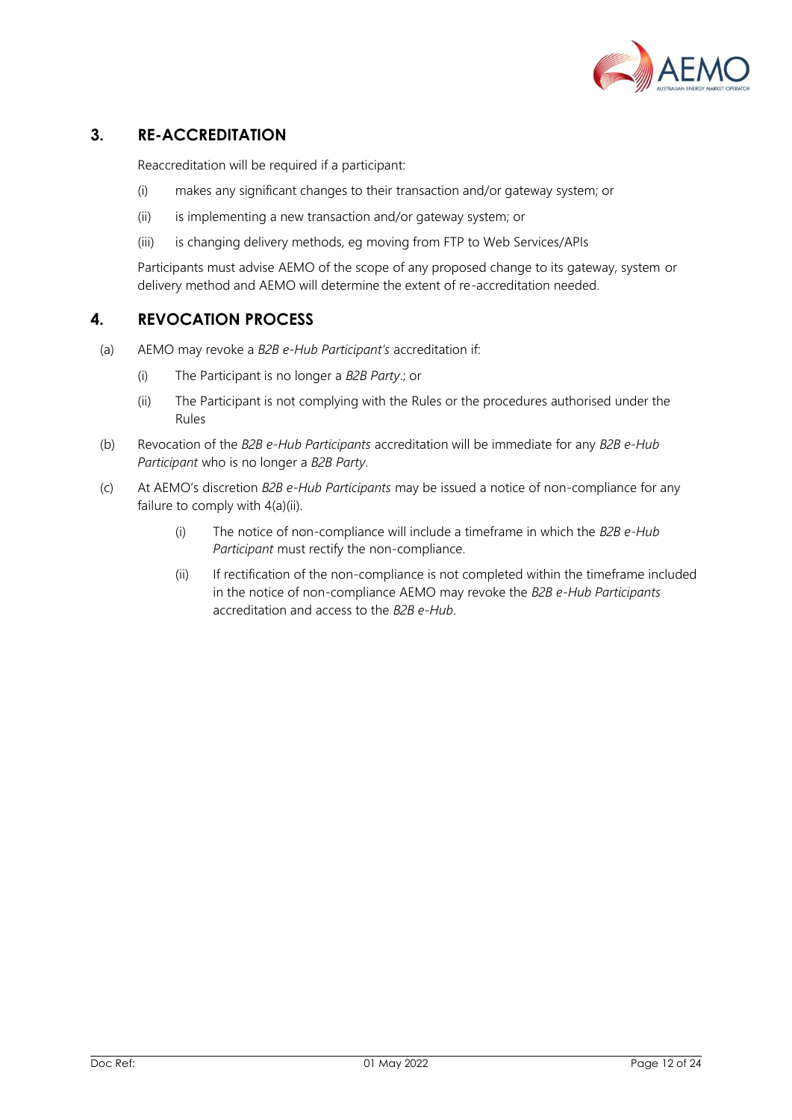

# <span id="page-11-0"></span>**3. RE-ACCREDITATION**

Reaccreditation will be required if a participant:

- (i) makes any significant changes to their transaction and/or gateway system; or
- (ii) is implementing a new transaction and/or gateway system; or
- (iii) is changing delivery methods, eg moving from FTP to Web Services/APIs

Participants must advise AEMO of the scope of any proposed change to its gateway, system or delivery method and AEMO will determine the extent of re-accreditation needed.

# <span id="page-11-1"></span>**4. REVOCATION PROCESS**

- (a) AEMO may revoke a *B2B e-Hub Participant's* accreditation if:
	- (i) The Participant is no longer a *B2B Party*.; or
	- (ii) The Participant is not complying with the Rules or the procedures authorised under the Rules
- (b) Revocation of the *B2B e-Hub Participants* accreditation will be immediate for any *B2B e-Hub Participant* who is no longer a *B2B Party*.
- (c) At AEMO's discretion *B2B e-Hub Participants* may be issued a notice of non-compliance for any failure to comply with 4(a)(ii).
	- (i) The notice of non-compliance will include a timeframe in which the *B2B e-Hub Participant* must rectify the non-compliance.
	- (ii) If rectification of the non-compliance is not completed within the timeframe included in the notice of non-compliance AEMO may revoke the *B2B e-Hub Participants* accreditation and access to the *B2B e-Hub*.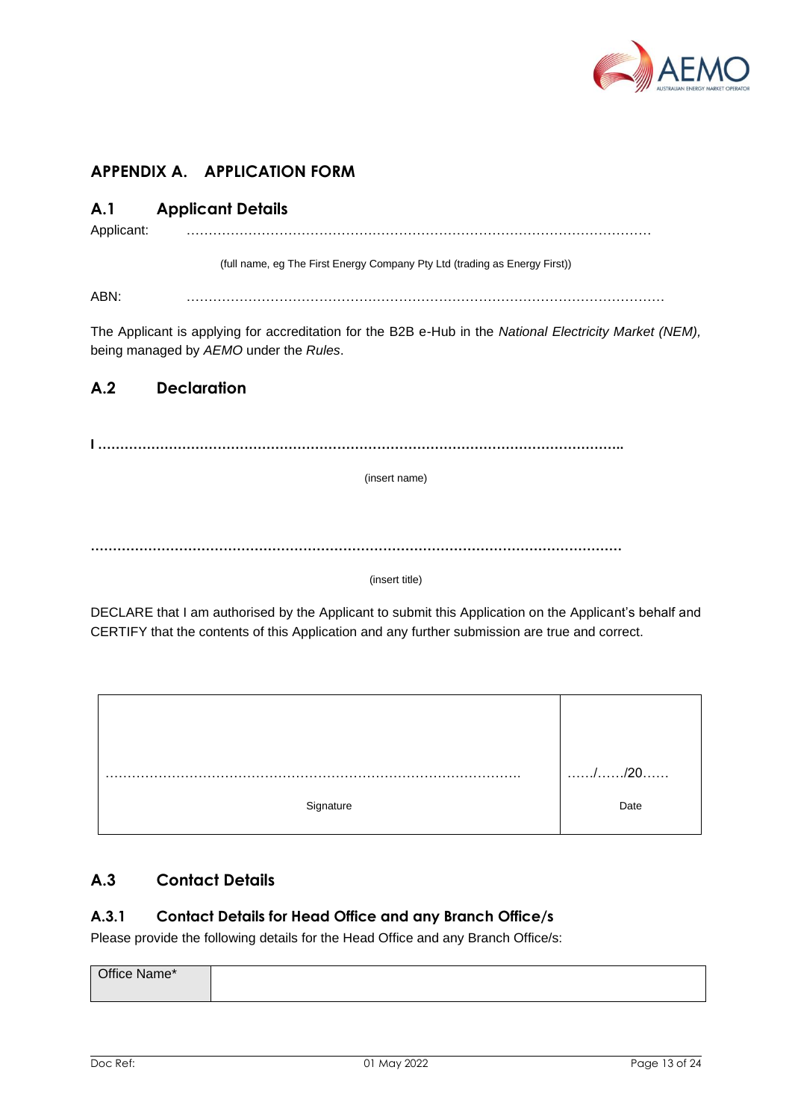

# <span id="page-12-0"></span>**APPENDIX A. APPLICATION FORM**

# <span id="page-12-1"></span>**A.1 Applicant Details**

Applicant: ……………………………………………………………………………………………

(full name, eg The First Energy Company Pty Ltd (trading as Energy First))

ABN: ………………………………………………………………………………………………

The Applicant is applying for accreditation for the B2B e-Hub in the *National Electricity Market (NEM),*  being managed by *AEMO* under the *Rules*.

# <span id="page-12-2"></span>**A.2 Declaration**

**I ………………………………………………………………………………………………………..**

(insert name)

**…………………………………………………………………………………………………………**

(insert title)

DECLARE that I am authorised by the Applicant to submit this Application on the Applicant's behalf and CERTIFY that the contents of this Application and any further submission are true and correct.



# <span id="page-12-3"></span>**A.3 Contact Details**

### **A.3.1 Contact Details for Head Office and any Branch Office/s**

Please provide the following details for the Head Office and any Branch Office/s:

| Office Name* |  |
|--------------|--|
|              |  |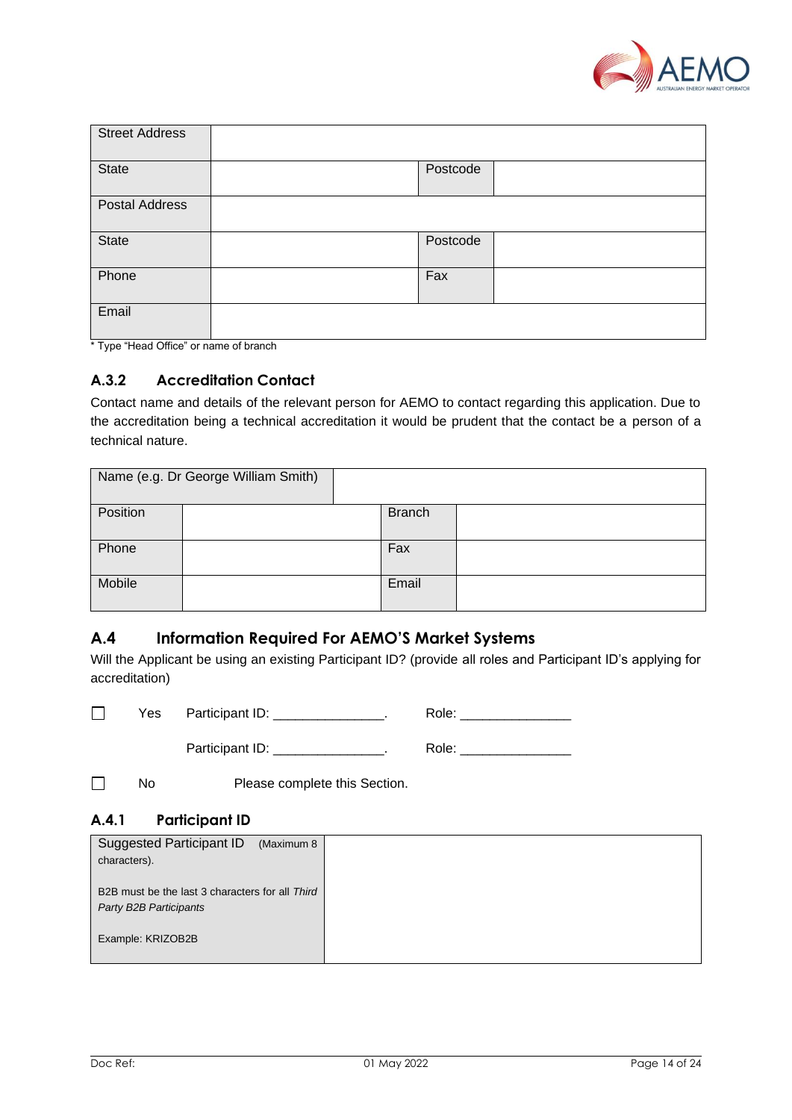

| <b>Street Address</b> |          |  |
|-----------------------|----------|--|
| <b>State</b>          | Postcode |  |
| <b>Postal Address</b> |          |  |
| <b>State</b>          | Postcode |  |
| Phone                 | Fax      |  |
| Email                 |          |  |

\* Type "Head Office" or name of branch

### **A.3.2 Accreditation Contact**

Contact name and details of the relevant person for AEMO to contact regarding this application. Due to the accreditation being a technical accreditation it would be prudent that the contact be a person of a technical nature.

|          | Name (e.g. Dr George William Smith) |               |  |
|----------|-------------------------------------|---------------|--|
| Position |                                     | <b>Branch</b> |  |
| Phone    |                                     | Fax           |  |
| Mobile   |                                     | Email         |  |

# <span id="page-13-0"></span>**A.4 Information Required For AEMO'S Market Systems**

Will the Applicant be using an existing Participant ID? (provide all roles and Participant ID's applying for accreditation)

| Yes | Participant ID: | Role: |
|-----|-----------------|-------|
|     | Participant ID: | Role: |

 $\Box$ No Please complete this Section.

# **A.4.1 Participant ID**

| <b>Suggested Participant ID</b><br>(Maximum 8                             |  |
|---------------------------------------------------------------------------|--|
| characters).                                                              |  |
| B2B must be the last 3 characters for all Third<br>Party B2B Participants |  |
| Example: KRIZOB2B                                                         |  |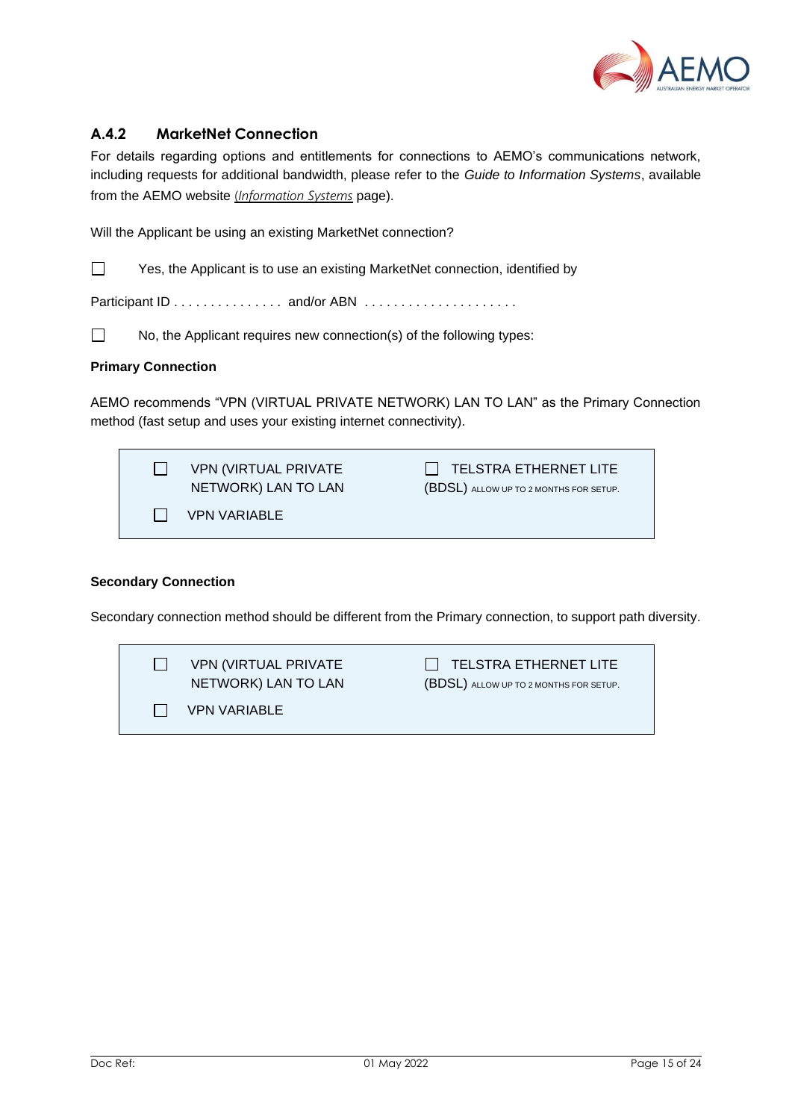

# **A.4.2 MarketNet Connection**

For details regarding options and entitlements for connections to AEMO's communications network, including requests for additional bandwidth, please refer to the *Guide to Information Systems*, available from the AEMO website (*[Information Systems](http://www.aemo.com.au/About-the-Industry/Information-Systems)* page).

Will the Applicant be using an existing MarketNet connection?

 $\Box$ Yes, the Applicant is to use an existing MarketNet connection, identified by

Participant ID . . . . . . . . . . . . . . . and/or ABN . . . . . . . . . . . . . . . . . . . . .

No, the Applicant requires new connection(s) of the following types:

#### **Primary Connection**

 $\Box$ 

AEMO recommends "VPN (VIRTUAL PRIVATE NETWORK) LAN TO LAN" as the Primary Connection method (fast setup and uses your existing internet connectivity).

| <b>VPN (VIRTUAL PRIVATE)</b><br>NETWORK) LAN TO LAN | TELSTRA ETHERNET LITE<br>(BDSL) ALLOW UP TO 2 MONTHS FOR SETUP. |
|-----------------------------------------------------|-----------------------------------------------------------------|
| <b>VPN VARIABLE</b>                                 |                                                                 |

#### **Secondary Connection**

Secondary connection method should be different from the Primary connection, to support path diversity.

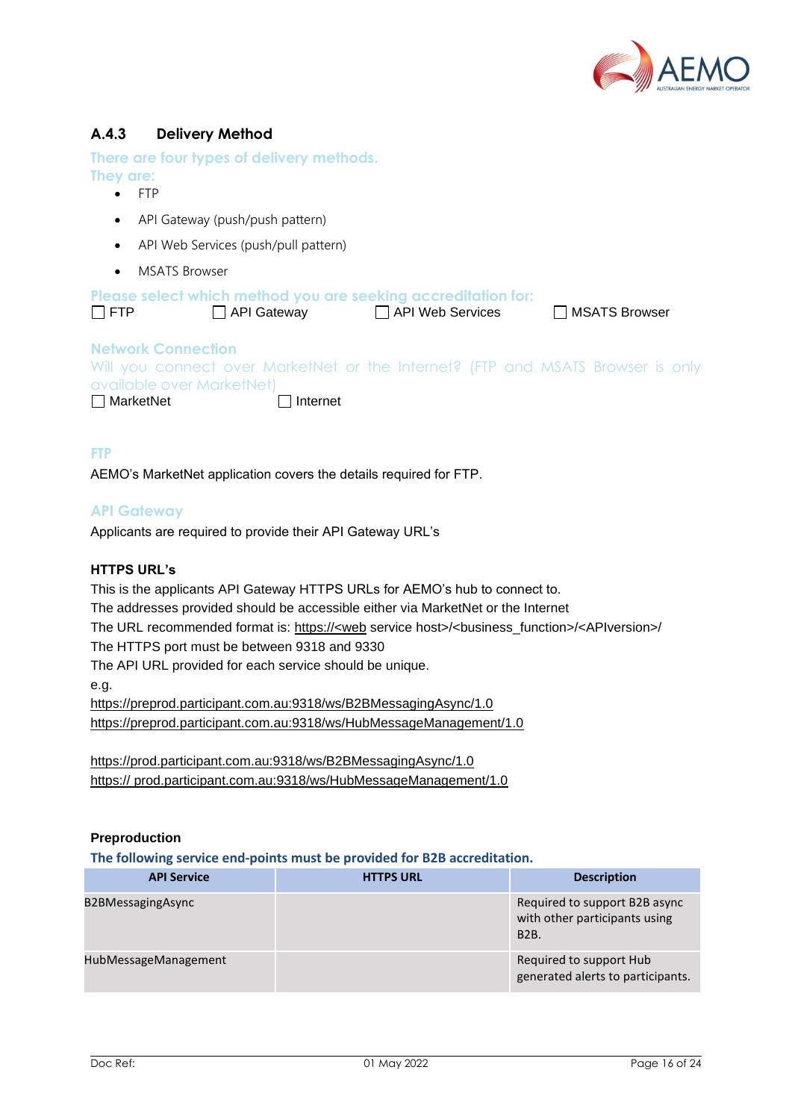

# **A.4.3 Delivery Method**

**There are four types of delivery methods. They are:**

- FTP
- API Gateway (push/push pattern)
- API Web Services (push/pull pattern)
- MSATS Browser

| $\Box$ FTP                                                                 | Please select which method you are seeking accreditation for:<br>API Gateway                  | API Web Services | □ MSATS Browser |  |
|----------------------------------------------------------------------------|-----------------------------------------------------------------------------------------------|------------------|-----------------|--|
| <b>Network Connection</b><br>available over MarketNet)<br>$\Box$ MarketNet | Will you connect over MarketNet or the Internet? (FTP and MSATS Browser is only<br>  Internet |                  |                 |  |

**FTP**

AEMO's MarketNet application covers the details required for FTP.

#### **API Gateway**

Applicants are required to provide their API Gateway URL's

#### **HTTPS URL's**

This is the applicants API Gateway HTTPS URLs for AEMO's hub to connect to.

The addresses provided should be accessible either via MarketNet or the Internet

The URL recommended format is: https://<web service host>/<br/>clusiness\_function>/<APIversion>/

The HTTPS port must be between 9318 and 9330

The API URL provided for each service should be unique.

e.g.

<https://preprod.participant.com.au:9318/ws/B2BMessagingAsync/1.0> <https://preprod.participant.com.au:9318/ws/HubMessageManagement/1.0>

<https://prod.participant.com.au:9318/ws/B2BMessagingAsync/1.0> https:// prod.participant.com.au:9318/ws/HubMessageManagement/1.0

#### **Preproduction**

**The following service end-points must be provided for B2B accreditation.**

| <b>API Service</b>   | <b>HTTPS URL</b> | <b>Description</b>                                                            |
|----------------------|------------------|-------------------------------------------------------------------------------|
| B2BMessagingAsync    |                  | Required to support B2B async<br>with other participants using<br><b>B2B.</b> |
| HubMessageManagement |                  | Required to support Hub<br>generated alerts to participants.                  |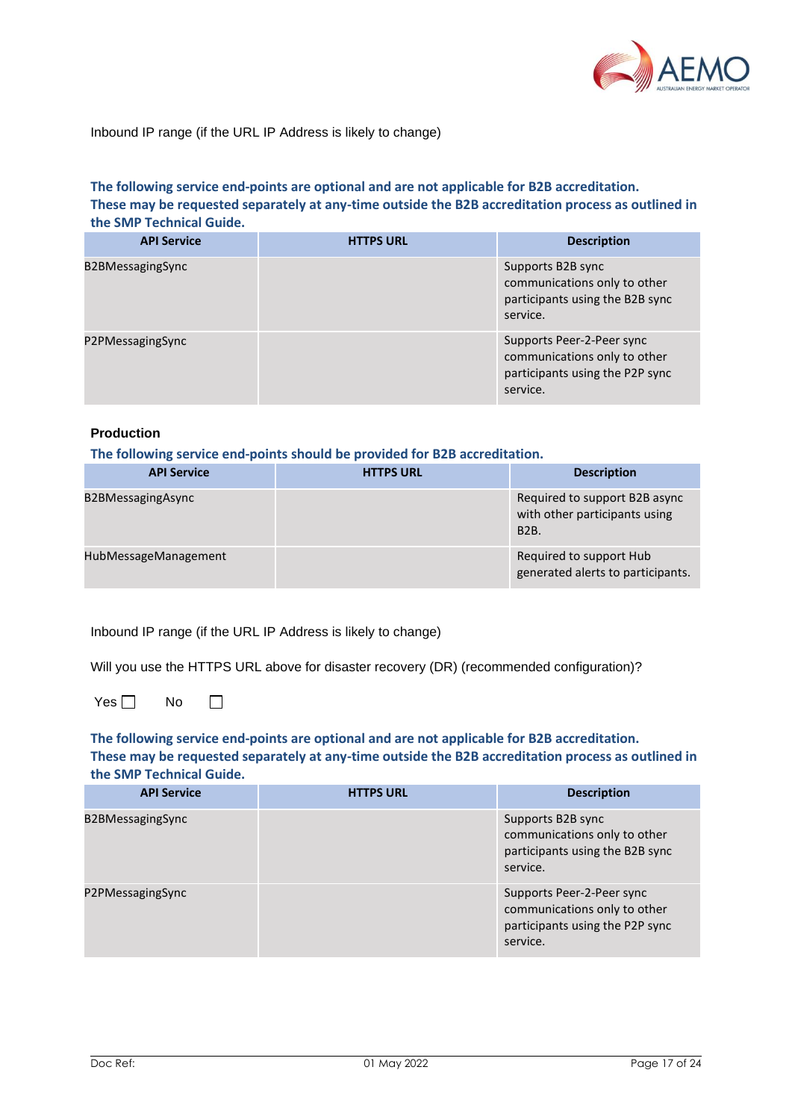

#### Inbound IP range (if the URL IP Address is likely to change)

#### **The following service end-points are optional and are not applicable for B2B accreditation. These may be requested separately at any-time outside the B2B accreditation process as outlined in the SMP Technical Guide.**

| <b>API Service</b>      | <b>HTTPS URL</b> | <b>Description</b>                                                                                       |
|-------------------------|------------------|----------------------------------------------------------------------------------------------------------|
| <b>B2BMessagingSync</b> |                  | Supports B2B sync<br>communications only to other<br>participants using the B2B sync<br>service.         |
| P2PMessagingSync        |                  | Supports Peer-2-Peer sync<br>communications only to other<br>participants using the P2P sync<br>service. |

#### **Production**

**The following service end-points should be provided for B2B accreditation.**

| <b>API Service</b>   | <b>HTTPS URL</b> | <b>Description</b>                                                            |
|----------------------|------------------|-------------------------------------------------------------------------------|
| B2BMessagingAsync    |                  | Required to support B2B async<br>with other participants using<br><b>B2B.</b> |
| HubMessageManagement |                  | Required to support Hub<br>generated alerts to participants.                  |

Inbound IP range (if the URL IP Address is likely to change)

Will you use the HTTPS URL above for disaster recovery (DR) (recommended configuration)?

 $Yes \Box$  No  $\Box$ 

**The following service end-points are optional and are not applicable for B2B accreditation. These may be requested separately at any-time outside the B2B accreditation process as outlined in the SMP Technical Guide.**

| <b>API Service</b> | <b>HTTPS URL</b> | <b>Description</b>                                                                                       |
|--------------------|------------------|----------------------------------------------------------------------------------------------------------|
| B2BMessagingSync   |                  | Supports B2B sync<br>communications only to other<br>participants using the B2B sync<br>service.         |
| P2PMessagingSync   |                  | Supports Peer-2-Peer sync<br>communications only to other<br>participants using the P2P sync<br>service. |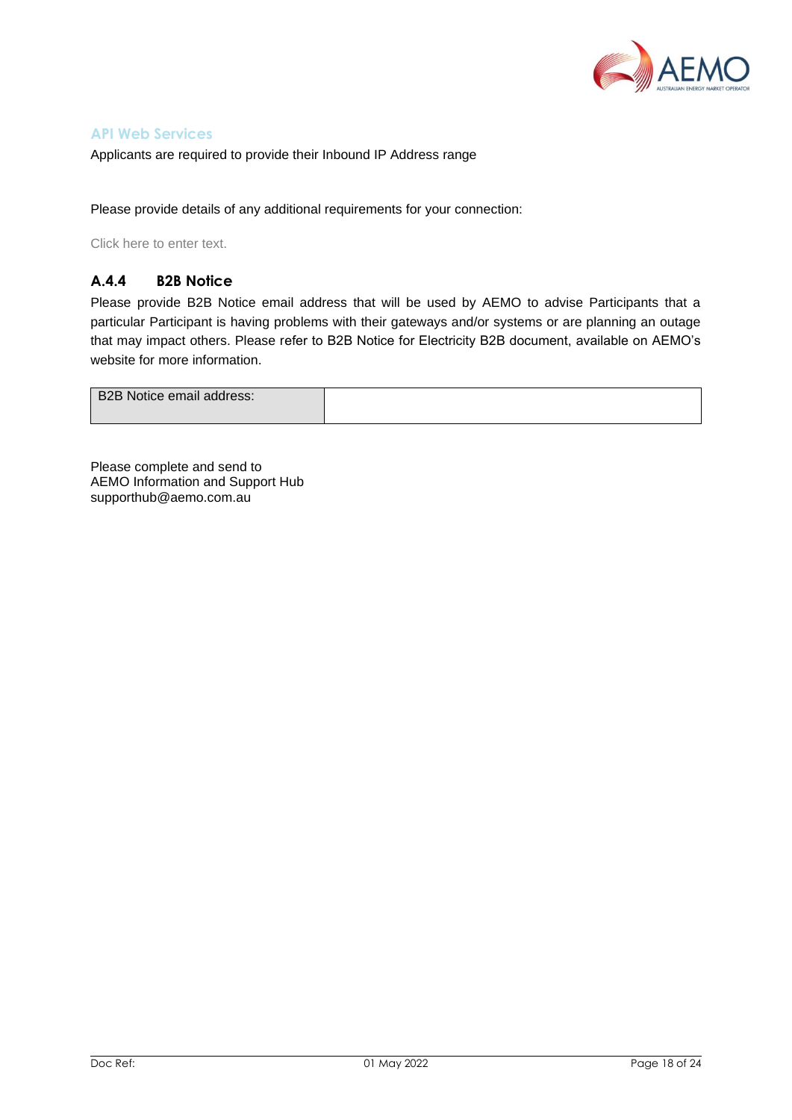

#### **API Web Services**

Applicants are required to provide their Inbound IP Address range

Please provide details of any additional requirements for your connection:

Click here to enter text.

#### **A.4.4 B2B Notice**

Please provide B2B Notice email address that will be used by AEMO to advise Participants that a particular Participant is having problems with their gateways and/or systems or are planning an outage that may impact others. Please refer to B2B Notice for Electricity B2B document, available on AEMO's website for more information.

| B2B Notice email address: |  |
|---------------------------|--|
|                           |  |

Please complete and send to AEMO Information and Support Hub supporthub@aemo.com.au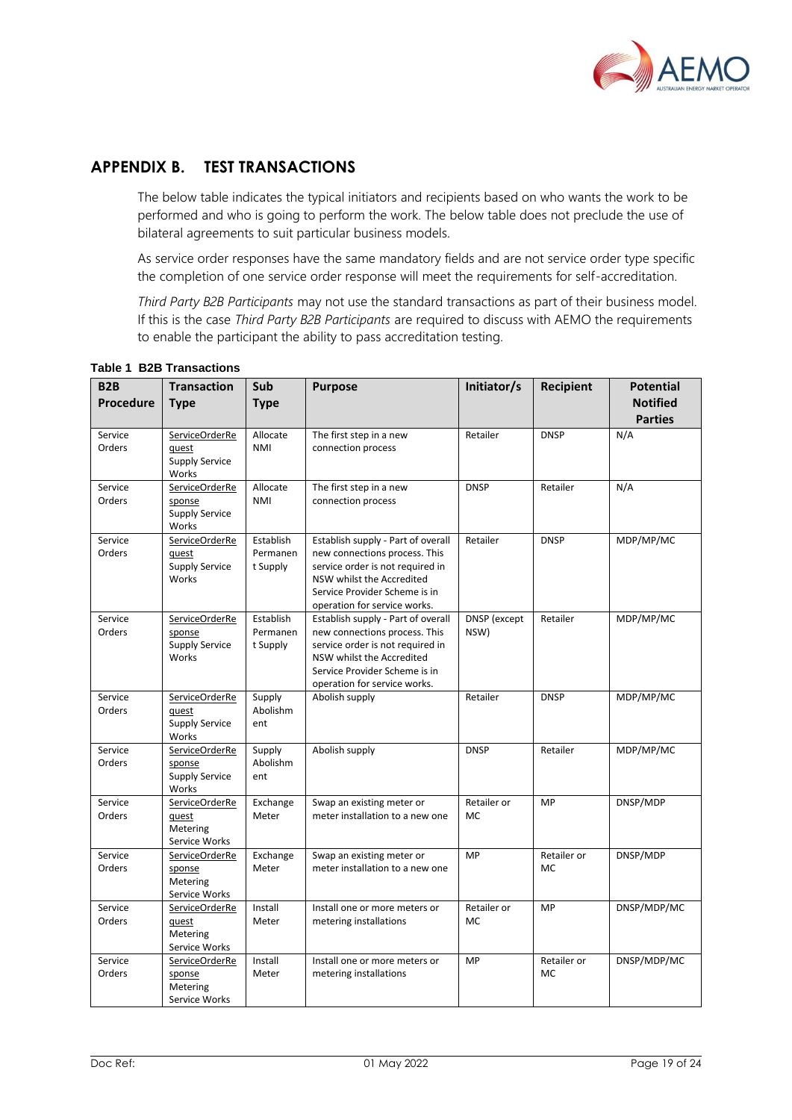

# <span id="page-18-0"></span>**APPENDIX B. TEST TRANSACTIONS**

The below table indicates the typical initiators and recipients based on who wants the work to be performed and who is going to perform the work. The below table does not preclude the use of bilateral agreements to suit particular business models.

As service order responses have the same mandatory fields and are not service order type specific the completion of one service order response will meet the requirements for self-accreditation.

*Third Party B2B Participants* may not use the standard transactions as part of their business model. If this is the case *Third Party B2B Participants* are required to discuss with AEMO the requirements to enable the participant the ability to pass accreditation testing.

| B <sub>2</sub> B  | <b>Transaction</b>                                         | Sub                               | <b>Purpose</b>                                                                                                                                                                                        | Initiator/s          | <b>Recipient</b>  | <b>Potential</b> |
|-------------------|------------------------------------------------------------|-----------------------------------|-------------------------------------------------------------------------------------------------------------------------------------------------------------------------------------------------------|----------------------|-------------------|------------------|
| <b>Procedure</b>  | <b>Type</b>                                                | <b>Type</b>                       |                                                                                                                                                                                                       |                      |                   | <b>Notified</b>  |
|                   |                                                            |                                   |                                                                                                                                                                                                       |                      |                   | <b>Parties</b>   |
| Service<br>Orders | ServiceOrderRe<br>quest<br><b>Supply Service</b><br>Works  | Allocate<br><b>NMI</b>            | The first step in a new<br>connection process                                                                                                                                                         | Retailer             | <b>DNSP</b>       | N/A              |
| Service<br>Orders | ServiceOrderRe<br>sponse<br><b>Supply Service</b><br>Works | Allocate<br><b>NMI</b>            | The first step in a new<br>connection process                                                                                                                                                         | <b>DNSP</b>          | Retailer          | N/A              |
| Service<br>Orders | ServiceOrderRe<br>quest<br><b>Supply Service</b><br>Works  | Establish<br>Permanen<br>t Supply | Establish supply - Part of overall<br>new connections process. This<br>service order is not required in<br>NSW whilst the Accredited<br>Service Provider Scheme is in<br>operation for service works. | Retailer             | <b>DNSP</b>       | MDP/MP/MC        |
| Service<br>Orders | ServiceOrderRe<br>sponse<br><b>Supply Service</b><br>Works | Establish<br>Permanen<br>t Supply | Establish supply - Part of overall<br>new connections process. This<br>service order is not required in<br>NSW whilst the Accredited<br>Service Provider Scheme is in<br>operation for service works. | DNSP (except<br>NSW) | Retailer          | MDP/MP/MC        |
| Service<br>Orders | ServiceOrderRe<br>quest<br><b>Supply Service</b><br>Works  | Supply<br>Abolishm<br>ent         | Abolish supply                                                                                                                                                                                        | Retailer             | <b>DNSP</b>       | MDP/MP/MC        |
| Service<br>Orders | ServiceOrderRe<br>sponse<br><b>Supply Service</b><br>Works | Supply<br>Abolishm<br>ent         | Abolish supply                                                                                                                                                                                        | <b>DNSP</b>          | Retailer          | MDP/MP/MC        |
| Service<br>Orders | ServiceOrderRe<br>quest<br>Metering<br>Service Works       | Exchange<br>Meter                 | Swap an existing meter or<br>meter installation to a new one                                                                                                                                          | Retailer or<br>MC    | MP                | DNSP/MDP         |
| Service<br>Orders | ServiceOrderRe<br>sponse<br>Metering<br>Service Works      | Exchange<br>Meter                 | Swap an existing meter or<br>meter installation to a new one                                                                                                                                          | MP                   | Retailer or<br>МC | DNSP/MDP         |
| Service<br>Orders | ServiceOrderRe<br>quest<br>Metering<br>Service Works       | Install<br>Meter                  | Install one or more meters or<br>metering installations                                                                                                                                               | Retailer or<br>MC    | MP                | DNSP/MDP/MC      |
| Service<br>Orders | ServiceOrderRe<br>sponse<br>Metering<br>Service Works      | Install<br>Meter                  | Install one or more meters or<br>metering installations                                                                                                                                               | MP                   | Retailer or<br>МC | DNSP/MDP/MC      |

#### **Table 1 B2B Transactions**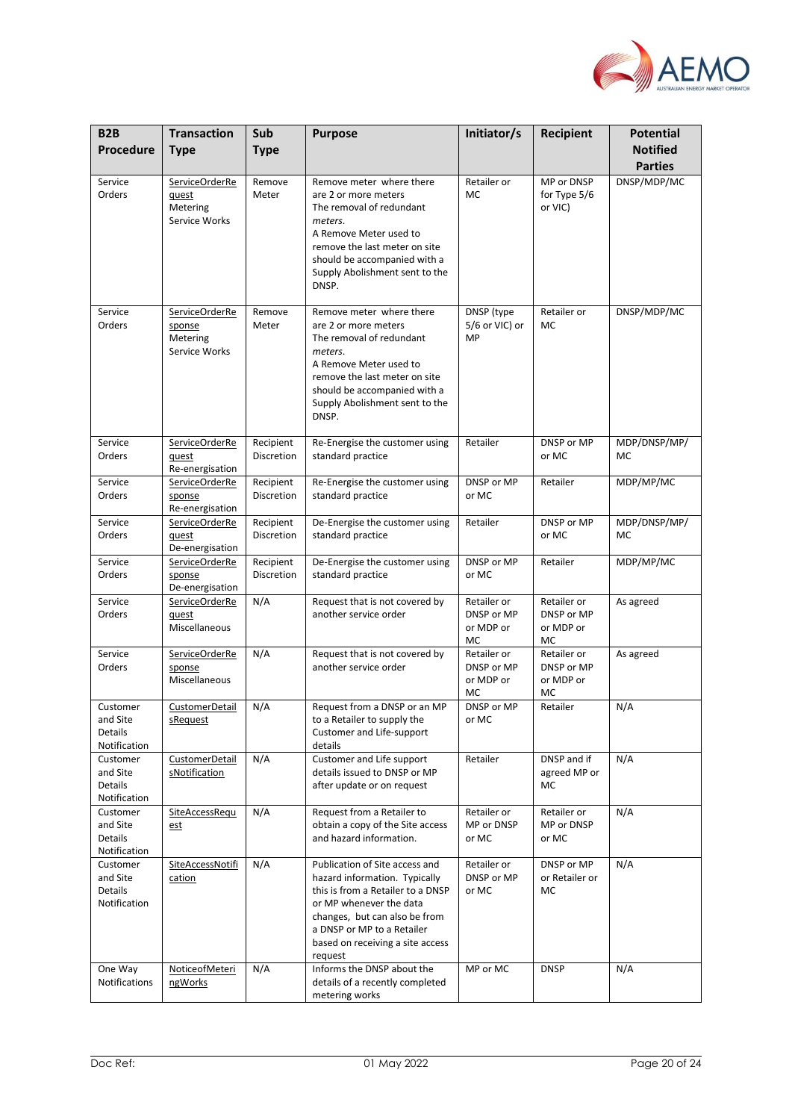

| B <sub>2</sub> B                                       | <b>Transaction</b>                                    | Sub                     | <b>Purpose</b>                                                                                                                                                                                                                                | Initiator/s                                  | <b>Recipient</b>                             | <b>Potential</b>                  |
|--------------------------------------------------------|-------------------------------------------------------|-------------------------|-----------------------------------------------------------------------------------------------------------------------------------------------------------------------------------------------------------------------------------------------|----------------------------------------------|----------------------------------------------|-----------------------------------|
| <b>Procedure</b>                                       | <b>Type</b>                                           | <b>Type</b>             |                                                                                                                                                                                                                                               |                                              |                                              | <b>Notified</b><br><b>Parties</b> |
| Service<br>Orders                                      | ServiceOrderRe<br>quest<br>Metering<br>Service Works  | Remove<br>Meter         | Remove meter where there<br>are 2 or more meters<br>The removal of redundant<br>meters.<br>A Remove Meter used to<br>remove the last meter on site<br>should be accompanied with a<br>Supply Abolishment sent to the<br>DNSP.                 | Retailer or<br>МC                            | MP or DNSP<br>for Type 5/6<br>or VIC)        | DNSP/MDP/MC                       |
| Service<br>Orders                                      | ServiceOrderRe<br>sponse<br>Metering<br>Service Works | Remove<br>Meter         | Remove meter where there<br>are 2 or more meters<br>The removal of redundant<br>meters.<br>A Remove Meter used to<br>remove the last meter on site<br>should be accompanied with a<br>Supply Abolishment sent to the<br>DNSP.                 | DNSP (type<br>5/6 or VIC) or<br>MP           | Retailer or<br>MC                            | DNSP/MDP/MC                       |
| Service<br>Orders                                      | ServiceOrderRe<br>quest<br>Re-energisation            | Recipient<br>Discretion | Re-Energise the customer using<br>standard practice                                                                                                                                                                                           | Retailer                                     | DNSP or MP<br>or MC                          | MDP/DNSP/MP/<br>MC                |
| Service<br>Orders                                      | ServiceOrderRe<br>sponse<br>Re-energisation           | Recipient<br>Discretion | Re-Energise the customer using<br>standard practice                                                                                                                                                                                           | DNSP or MP<br>or MC                          | Retailer                                     | MDP/MP/MC                         |
| Service<br>Orders                                      | ServiceOrderRe<br>quest<br>De-energisation            | Recipient<br>Discretion | De-Energise the customer using<br>standard practice                                                                                                                                                                                           | Retailer                                     | DNSP or MP<br>or MC                          | MDP/DNSP/MP/<br>MC                |
| Service<br>Orders                                      | ServiceOrderRe<br>sponse<br>De-energisation           | Recipient<br>Discretion | De-Energise the customer using<br>standard practice                                                                                                                                                                                           | DNSP or MP<br>or MC                          | Retailer                                     | MDP/MP/MC                         |
| Service<br>Orders                                      | ServiceOrderRe<br>quest<br>Miscellaneous              | N/A                     | Request that is not covered by<br>another service order                                                                                                                                                                                       | Retailer or<br>DNSP or MP<br>or MDP or<br>MC | Retailer or<br>DNSP or MP<br>or MDP or<br>MC | As agreed                         |
| Service<br>Orders                                      | ServiceOrderRe<br>sponse<br>Miscellaneous             | N/A                     | Request that is not covered by<br>another service order                                                                                                                                                                                       | Retailer or<br>DNSP or MP<br>or MDP or<br>MC | Retailer or<br>DNSP or MP<br>or MDP or<br>MC | As agreed                         |
| Customer<br>and Site<br>Details<br>Notification        | CustomerDetail<br>sRequest                            | N/A                     | Request from a DNSP or an MP<br>to a Retailer to supply the<br>Customer and Life-support<br>details                                                                                                                                           | DNSP or MP<br>or MC                          | Retailer                                     | N/A                               |
| Customer<br>and Site<br>Details<br>Notification        | <b>CustomerDetail</b><br>sNotification                | N/A                     | Customer and Life support<br>details issued to DNSP or MP<br>after update or on request                                                                                                                                                       | Retailer                                     | DNSP and if<br>agreed MP or<br>МC            | N/A                               |
| Customer<br>and Site<br><b>Details</b><br>Notification | SiteAccessRequ<br><u>est</u>                          | N/A                     | Request from a Retailer to<br>obtain a copy of the Site access<br>and hazard information.                                                                                                                                                     | Retailer or<br>MP or DNSP<br>or MC           | Retailer or<br>MP or DNSP<br>or MC           | N/A                               |
| Customer<br>and Site<br>Details<br>Notification        | SiteAccessNotifi<br>cation                            | N/A                     | Publication of Site access and<br>hazard information. Typically<br>this is from a Retailer to a DNSP<br>or MP whenever the data<br>changes, but can also be from<br>a DNSP or MP to a Retailer<br>based on receiving a site access<br>request | Retailer or<br>DNSP or MP<br>or MC           | DNSP or MP<br>or Retailer or<br>MC           | N/A                               |
| One Way<br>Notifications                               | NoticeofMeteri<br>ngWorks                             | N/A                     | Informs the DNSP about the<br>details of a recently completed<br>metering works                                                                                                                                                               | MP or MC                                     | <b>DNSP</b>                                  | N/A                               |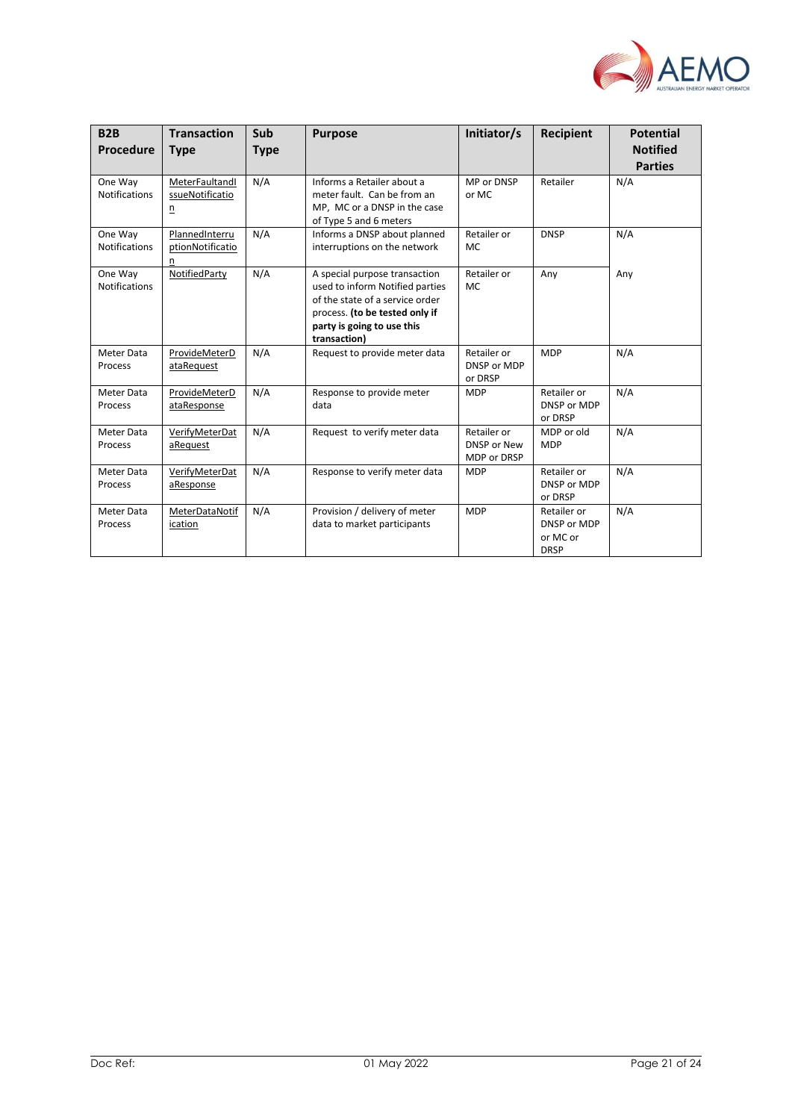

| <b>B2B</b><br><b>Procedure</b>  | <b>Transaction</b><br><b>Type</b>                            | Sub<br><b>Type</b> | <b>Purpose</b>                                                                                                                                                                      | Initiator/s                               | <b>Recipient</b>                                      | <b>Potential</b><br><b>Notified</b><br><b>Parties</b> |
|---------------------------------|--------------------------------------------------------------|--------------------|-------------------------------------------------------------------------------------------------------------------------------------------------------------------------------------|-------------------------------------------|-------------------------------------------------------|-------------------------------------------------------|
| One Way<br>Notifications        | MeterFaultandI<br>ssueNotificatio<br>$\overline{\mathsf{n}}$ | N/A                | Informs a Retailer about a<br>meter fault. Can be from an<br>MP, MC or a DNSP in the case<br>of Type 5 and 6 meters                                                                 | MP or DNSP<br>or MC                       | Retailer                                              | N/A                                                   |
| One Way<br><b>Notifications</b> | PlannedInterru<br>ptionNotificatio<br>ℶ                      | N/A                | Informs a DNSP about planned<br>interruptions on the network                                                                                                                        | Retailer or<br><b>MC</b>                  | <b>DNSP</b>                                           | N/A                                                   |
| One Way<br><b>Notifications</b> | NotifiedParty                                                | N/A                | A special purpose transaction<br>used to inform Notified parties<br>of the state of a service order<br>process. (to be tested only if<br>party is going to use this<br>transaction) | Retailer or<br><b>MC</b>                  | Any                                                   | Any                                                   |
| Meter Data<br>Process           | ProvideMeterD<br>ataRequest                                  | N/A                | Request to provide meter data                                                                                                                                                       | Retailer or<br>DNSP or MDP<br>or DRSP     | <b>MDP</b>                                            | N/A                                                   |
| Meter Data<br>Process           | ProvideMeterD<br>ataResponse                                 | N/A                | Response to provide meter<br>data                                                                                                                                                   | <b>MDP</b>                                | Retailer or<br>DNSP or MDP<br>or DRSP                 | N/A                                                   |
| Meter Data<br>Process           | VerifyMeterDat<br>aRequest                                   | N/A                | Request to verify meter data                                                                                                                                                        | Retailer or<br>DNSP or New<br>MDP or DRSP | MDP or old<br><b>MDP</b>                              | N/A                                                   |
| Meter Data<br>Process           | VerifyMeterDat<br>aResponse                                  | N/A                | Response to verify meter data                                                                                                                                                       | <b>MDP</b>                                | Retailer or<br>DNSP or MDP<br>or DRSP                 | N/A                                                   |
| Meter Data<br>Process           | MeterDataNotif<br>ication                                    | N/A                | Provision / delivery of meter<br>data to market participants                                                                                                                        | <b>MDP</b>                                | Retailer or<br>DNSP or MDP<br>or MC or<br><b>DRSP</b> | N/A                                                   |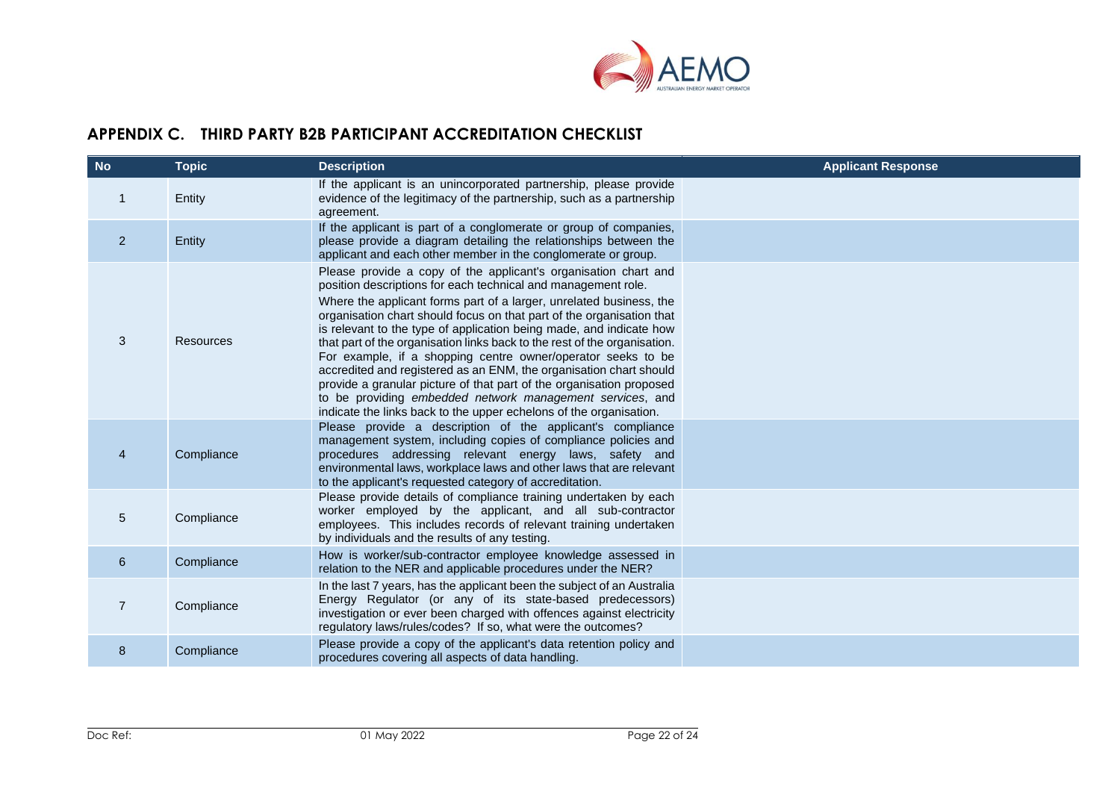

# **APPENDIX C. THIRD PARTY B2B PARTICIPANT ACCREDITATION CHECKLIST**

<span id="page-21-0"></span>

| <b>No</b>      | <b>Topic</b>     | <b>Description</b>                                                                                                                                                                                                                                                                                                                                                                                                                                                                                                                                                                                                                                                                                                                                                                    | <b>Applicant Response</b> |
|----------------|------------------|---------------------------------------------------------------------------------------------------------------------------------------------------------------------------------------------------------------------------------------------------------------------------------------------------------------------------------------------------------------------------------------------------------------------------------------------------------------------------------------------------------------------------------------------------------------------------------------------------------------------------------------------------------------------------------------------------------------------------------------------------------------------------------------|---------------------------|
|                | Entity           | If the applicant is an unincorporated partnership, please provide<br>evidence of the legitimacy of the partnership, such as a partnership<br>agreement.                                                                                                                                                                                                                                                                                                                                                                                                                                                                                                                                                                                                                               |                           |
| 2              | Entity           | If the applicant is part of a conglomerate or group of companies,<br>please provide a diagram detailing the relationships between the<br>applicant and each other member in the conglomerate or group.                                                                                                                                                                                                                                                                                                                                                                                                                                                                                                                                                                                |                           |
| 3              | <b>Resources</b> | Please provide a copy of the applicant's organisation chart and<br>position descriptions for each technical and management role.<br>Where the applicant forms part of a larger, unrelated business, the<br>organisation chart should focus on that part of the organisation that<br>is relevant to the type of application being made, and indicate how<br>that part of the organisation links back to the rest of the organisation.<br>For example, if a shopping centre owner/operator seeks to be<br>accredited and registered as an ENM, the organisation chart should<br>provide a granular picture of that part of the organisation proposed<br>to be providing embedded network management services, and<br>indicate the links back to the upper echelons of the organisation. |                           |
| $\overline{4}$ | Compliance       | Please provide a description of the applicant's compliance<br>management system, including copies of compliance policies and<br>procedures addressing relevant energy laws, safety and<br>environmental laws, workplace laws and other laws that are relevant<br>to the applicant's requested category of accreditation.                                                                                                                                                                                                                                                                                                                                                                                                                                                              |                           |
| 5              | Compliance       | Please provide details of compliance training undertaken by each<br>worker employed by the applicant, and all sub-contractor<br>employees. This includes records of relevant training undertaken<br>by individuals and the results of any testing.                                                                                                                                                                                                                                                                                                                                                                                                                                                                                                                                    |                           |
| 6              | Compliance       | How is worker/sub-contractor employee knowledge assessed in<br>relation to the NER and applicable procedures under the NER?                                                                                                                                                                                                                                                                                                                                                                                                                                                                                                                                                                                                                                                           |                           |
| $\overline{7}$ | Compliance       | In the last 7 years, has the applicant been the subject of an Australia<br>Energy Regulator (or any of its state-based predecessors)<br>investigation or ever been charged with offences against electricity<br>regulatory laws/rules/codes? If so, what were the outcomes?                                                                                                                                                                                                                                                                                                                                                                                                                                                                                                           |                           |
| 8              | Compliance       | Please provide a copy of the applicant's data retention policy and<br>procedures covering all aspects of data handling.                                                                                                                                                                                                                                                                                                                                                                                                                                                                                                                                                                                                                                                               |                           |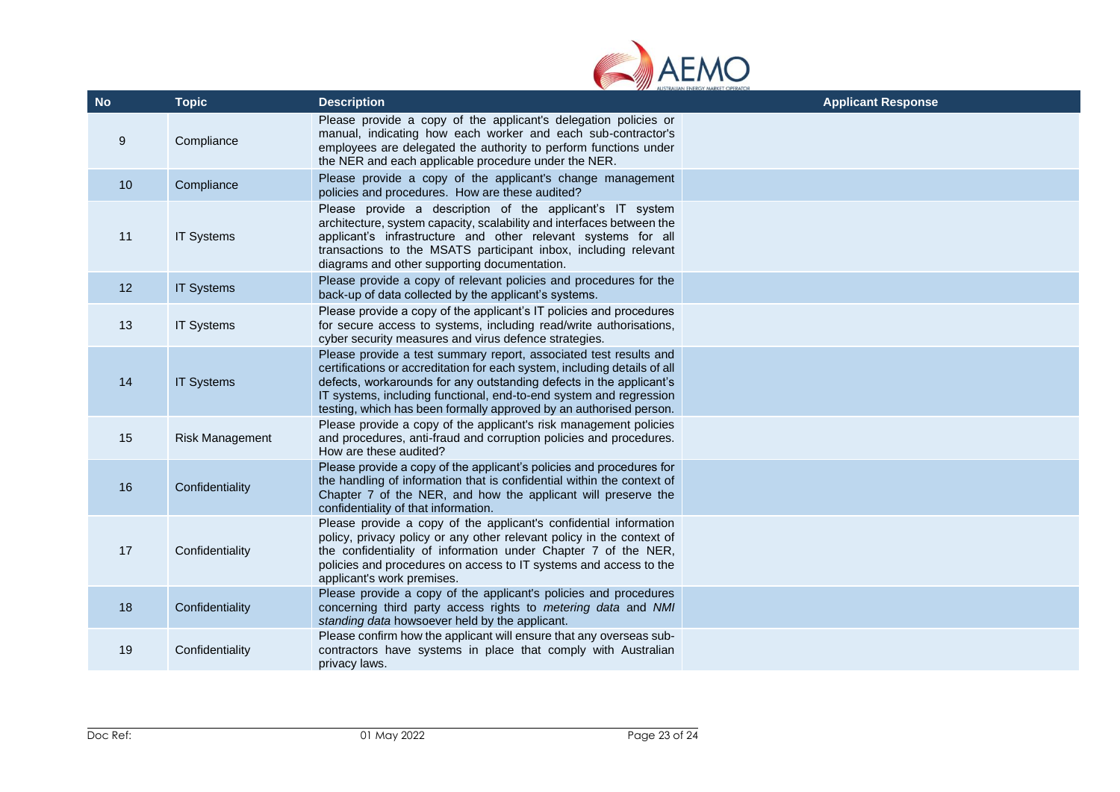

| <b>No</b> | <b>Topic</b>           | <b>Description</b>                                                                                                                                                                                                                                                                                                                                                | <b>Applicant Response</b> |
|-----------|------------------------|-------------------------------------------------------------------------------------------------------------------------------------------------------------------------------------------------------------------------------------------------------------------------------------------------------------------------------------------------------------------|---------------------------|
| 9         | Compliance             | Please provide a copy of the applicant's delegation policies or<br>manual, indicating how each worker and each sub-contractor's<br>employees are delegated the authority to perform functions under<br>the NER and each applicable procedure under the NER.                                                                                                       |                           |
| 10        | Compliance             | Please provide a copy of the applicant's change management<br>policies and procedures. How are these audited?                                                                                                                                                                                                                                                     |                           |
| 11        | <b>IT Systems</b>      | Please provide a description of the applicant's IT system<br>architecture, system capacity, scalability and interfaces between the<br>applicant's infrastructure and other relevant systems for all<br>transactions to the MSATS participant inbox, including relevant<br>diagrams and other supporting documentation.                                            |                           |
| 12        | <b>IT Systems</b>      | Please provide a copy of relevant policies and procedures for the<br>back-up of data collected by the applicant's systems.                                                                                                                                                                                                                                        |                           |
| 13        | <b>IT Systems</b>      | Please provide a copy of the applicant's IT policies and procedures<br>for secure access to systems, including read/write authorisations,<br>cyber security measures and virus defence strategies.                                                                                                                                                                |                           |
| 14        | <b>IT Systems</b>      | Please provide a test summary report, associated test results and<br>certifications or accreditation for each system, including details of all<br>defects, workarounds for any outstanding defects in the applicant's<br>IT systems, including functional, end-to-end system and regression<br>testing, which has been formally approved by an authorised person. |                           |
| 15        | <b>Risk Management</b> | Please provide a copy of the applicant's risk management policies<br>and procedures, anti-fraud and corruption policies and procedures.<br>How are these audited?                                                                                                                                                                                                 |                           |
| 16        | Confidentiality        | Please provide a copy of the applicant's policies and procedures for<br>the handling of information that is confidential within the context of<br>Chapter 7 of the NER, and how the applicant will preserve the<br>confidentiality of that information.                                                                                                           |                           |
| 17        | Confidentiality        | Please provide a copy of the applicant's confidential information<br>policy, privacy policy or any other relevant policy in the context of<br>the confidentiality of information under Chapter 7 of the NER,<br>policies and procedures on access to IT systems and access to the<br>applicant's work premises.                                                   |                           |
| 18        | Confidentiality        | Please provide a copy of the applicant's policies and procedures<br>concerning third party access rights to metering data and NMI<br>standing data howsoever held by the applicant.                                                                                                                                                                               |                           |
| 19        | Confidentiality        | Please confirm how the applicant will ensure that any overseas sub-<br>contractors have systems in place that comply with Australian<br>privacy laws.                                                                                                                                                                                                             |                           |